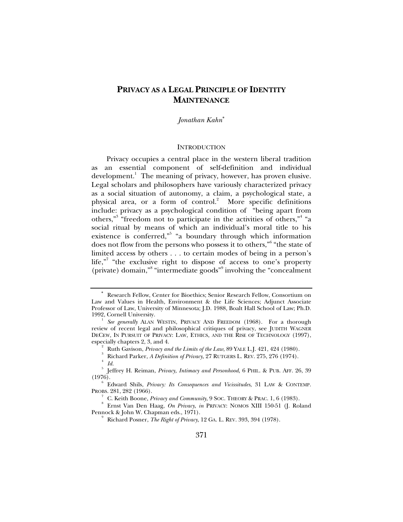# **PRIVACY AS A LEGAL PRINCIPLE OF IDENTITY MAINTENANCE**

*Jonathan Kahn*<sup>∗</sup>

### **INTRODUCTION**

Privacy occupies a central place in the western liberal tradition as an essential component of self-definition and individual development.<sup>1</sup> The meaning of privacy, however, has proven elusive. Legal scholars and philosophers have variously characterized privacy as a social situation of autonomy, a claim, a psychological state, a physical area, or a form of control.<sup>2</sup> More specific definitions include: privacy as a psychological condition of "being apart from others,"<sup>3</sup> "freedom not to participate in the activities of others,"<sup>4</sup> "a social ritual by means of which an individual's moral title to his existence is conferred,"<sup>5</sup> "a boundary through which information does not flow from the persons who possess it to others,"<sup>6</sup> "the state of limited access by others . . . to certain modes of being in a person's life,"<sup>7</sup> "the exclusive right to dispose of access to one's property (private) domain,"<sup>8</sup> "intermediate goods"<sup>9</sup> involving the "concealment"

<sup>∗</sup> Research Fellow, Center for Bioethics; Senior Research Fellow, Consortium on Law and Values in Health, Environment & the Life Sciences; Adjunct Associate Professor of Law, University of Minnesota; J.D. 1988, Boalt Hall School of Law; Ph.D. 1992, Cornell University. 1

*See generally* ALAN WESTIN, PRIVACY AND FREEDOM (1968). For a thorough review of recent legal and philosophical critiques of privacy, see JUDITH WAGNER DECEW, IN PURSUIT OF PRIVACY: LAW, ETHICS, AND THE RISE OF TECHNOLOGY (1997), especially chapters 2, 3, and 4. 2

Ruth Gavison, *Privacy and the Limits of the Law*, 89 YALE L.J. 421, 424 (1980). 3

Richard Parker, *A Definition of Privacy*, 27 RUTGERS L. REV. 275, 276 (1974). 4

*Id.*

<sup>5</sup> Jeffrey H. Reiman, *Privacy, Intimacy and Personhood*, 6 PHIL. & PUB. AFF. 26, 39  $(1976).$ 

Edward Shils, *Privacy: Its Consequences and Vicissitudes*, 31 LAW & CONTEMP. PROBS. 281, 282 (1966).

C. Keith Boone, *Privacy and Community*, 9 SOC. THEORY & PRAC. 1, 6 (1983). 8

Ernst Van Den Haag, *On Privacy*, *in* PRIVACY: NOMOS XIII 150-51 (J. Roland Pennock & John W. Chapman eds., 1971).

Richard Posner, *The Right of Privacy*, 12 GA. L. REV. 393, 394 (1978).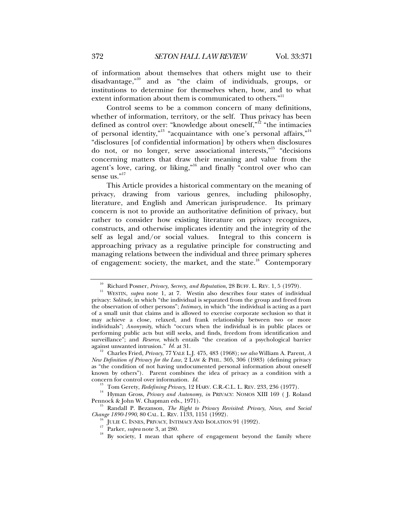of information about themselves that others might use to their disadvantage,"10 and as "the claim of individuals, groups, or institutions to determine for themselves when, how, and to what extent information about them is communicated to others."<sup>11</sup>

Control seems to be a common concern of many definitions, whether of information, territory, or the self. Thus privacy has been defined as control over: "knowledge about oneself,"<sup>12</sup> "the intimacies of personal identity,"<sup>13</sup> "acquaintance with one's personal affairs,"<sup>14</sup> "disclosures [of confidential information] by others when disclosures do not, or no longer, serve associational interests,"15 "decisions concerning matters that draw their meaning and value from the agent's love, caring, or liking,"<sup>16</sup> and finally "control over who can sense us."<sup>17</sup>

This Article provides a historical commentary on the meaning of privacy, drawing from various genres, including philosophy, literature, and English and American jurisprudence. Its primary concern is not to provide an authoritative definition of privacy, but rather to consider how existing literature on privacy recognizes, constructs, and otherwise implicates identity and the integrity of the self as legal and/or social values. Integral to this concern is approaching privacy as a regulative principle for constructing and managing relations between the individual and three primary spheres of engagement: society, the market, and the state.<sup>18</sup> Contemporary

<sup>&</sup>lt;sup>10</sup> Richard Posner, *Privacy, Secrecy, and Reputation*, 28 BUFF. L. REV. 1, 5 (1979).<br><sup>11</sup> WESTIN, *supra* note 1, at 7. Westin also describes four states of individual privacy: *Solitude*, in which "the individual is separated from the group and freed from the observation of other persons"; *Intimacy*, in which "the individual is acting as a part of a small unit that claims and is allowed to exercise corporate seclusion so that it may achieve a close, relaxed, and frank relationship between two or more individuals"; *Anonymity*, which "occurs when the individual is in public places or performing public acts but still seeks, and finds, freedom from identification and surveillance"; and *Reserve*, which entails "the creation of a psychological barrier against unwanted intrusion." *Id.* at 31.

against unwanted intrusion." *Id.* at 31. 12 Charles Fried, *Privacy*, 77 YALE L.J. 475, 483 (1968); s*ee also* William A. Parent, *<sup>A</sup> New Definition of Privacy for the Law*, 2 LAW & PHIL. 305, 306 (1983) (defining privacy as "the condition of not having undocumented personal information about oneself known by others"). Parent combines the idea of privacy as a condition with a concern for control over information.  $Id$ .

<sup>&</sup>lt;sup>13</sup> Tom Gerety, *Redefining Privacy*, 12 HARV. C.R.-C.L. L. REV. 233, 236 (1977).<br><sup>14</sup> Hyman Gross, *Privacy and Autonomy*, *in* PRIVACY: NOMOS XIII 169 (J. Roland Pennock & John W. Chapman eds., 1971).

<sup>&</sup>lt;sup>15</sup> Randall P. Bezanson, *The Right to Privacy Revisited: Privacy, News, and Social Change 1890-1990, 80 CAL. L. REV. 1133, 1151 (1992).* 

<sup>&</sup>lt;sup>16</sup> JULIE C. INNES, PRIVACY, INTIMACY AND ISOLATION 91 (1992).<br><sup>17</sup> Parker, *supra* note 3, at 280.<br><sup>18</sup> By society, I mean that sphere of engagement beyond the family where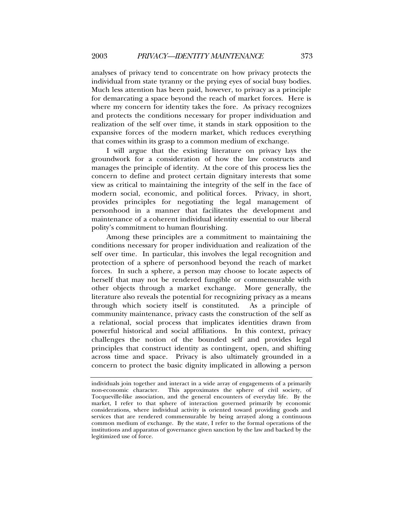analyses of privacy tend to concentrate on how privacy protects the individual from state tyranny or the prying eyes of social busy bodies. Much less attention has been paid, however, to privacy as a principle for demarcating a space beyond the reach of market forces. Here is where my concern for identity takes the fore. As privacy recognizes and protects the conditions necessary for proper individuation and realization of the self over time, it stands in stark opposition to the expansive forces of the modern market, which reduces everything that comes within its grasp to a common medium of exchange.

I will argue that the existing literature on privacy lays the groundwork for a consideration of how the law constructs and manages the principle of identity. At the core of this process lies the concern to define and protect certain dignitary interests that some view as critical to maintaining the integrity of the self in the face of modern social, economic, and political forces. Privacy, in short, provides principles for negotiating the legal management of personhood in a manner that facilitates the development and maintenance of a coherent individual identity essential to our liberal polity's commitment to human flourishing.

Among these principles are a commitment to maintaining the conditions necessary for proper individuation and realization of the self over time. In particular, this involves the legal recognition and protection of a sphere of personhood beyond the reach of market forces. In such a sphere, a person may choose to locate aspects of herself that may not be rendered fungible or commensurable with other objects through a market exchange. More generally, the literature also reveals the potential for recognizing privacy as a means through which society itself is constituted. As a principle of community maintenance, privacy casts the construction of the self as a relational, social process that implicates identities drawn from powerful historical and social affiliations. In this context, privacy challenges the notion of the bounded self and provides legal principles that construct identity as contingent, open, and shifting across time and space. Privacy is also ultimately grounded in a concern to protect the basic dignity implicated in allowing a person

individuals join together and interact in a wide array of engagements of a primarily non-economic character. This approximates the sphere of civil society, of Tocqueville-like association, and the general encounters of everyday life. By the market, I refer to that sphere of interaction governed primarily by economic considerations, where individual activity is oriented toward providing goods and services that are rendered commensurable by being arrayed along a continuous common medium of exchange. By the state, I refer to the formal operations of the institutions and apparatus of governance given sanction by the law and backed by the legitimized use of force.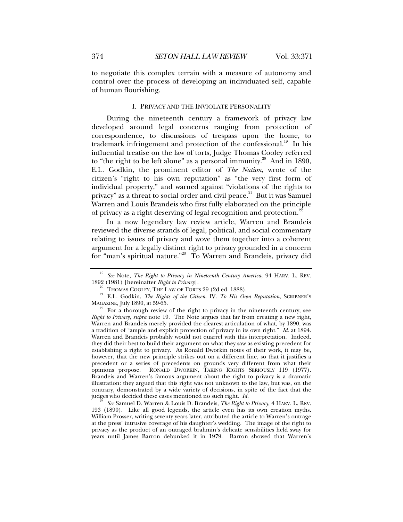to negotiate this complex terrain with a measure of autonomy and control over the process of developing an individuated self, capable of human flourishing.

# I. PRIVACY AND THE INVIOLATE PERSONALITY

During the nineteenth century a framework of privacy law developed around legal concerns ranging from protection of correspondence, to discussions of trespass upon the home, to trademark infringement and protection of the confessional.<sup>19</sup> In his influential treatise on the law of torts, Judge Thomas Cooley referred to "the right to be left alone" as a personal immunity.<sup>20</sup> And in 1890, E.L. Godkin, the prominent editor of *The Nation*, wrote of the citizen's "right to his own reputation" as "the very first form of individual property," and warned against "violations of the rights to privacy" as a threat to social order and civil peace. $2^1$  But it was Samuel Warren and Louis Brandeis who first fully elaborated on the principle of privacy as a right deserving of legal recognition and protection.<sup>2</sup>

In a now legendary law review article, Warren and Brandeis reviewed the diverse strands of legal, political, and social commentary relating to issues of privacy and wove them together into a coherent argument for a legally distinct right to privacy grounded in a concern for "man's spiritual nature."<sup>23</sup> To Warren and Brandeis, privacy did

<sup>&</sup>lt;sup>19</sup> *See* Note, *The Right to Privacy in Nineteenth Century America*, 94 HARV. L. REV. 1892 (1981) [hereinafter *Right to Privacy*].

<sup>&</sup>lt;sup>20</sup> THOMAS COOLEY, THE LAW OF TORTS 29 (2d ed. 1888).<br><sup>21</sup> E.L. Godkin, *The Rights of the Citizen*. IV. *To His Own Reputation*, SCRIBNER'S MAGAZINE, July 1890, at 59-65.

For a thorough review of the right to privacy in the nineteenth century, see *Right to Privacy*, *supra* note 19. The Note argues that far from creating a new right, Warren and Brandeis merely provided the clearest articulation of what, by 1890, was a tradition of "ample and explicit protection of privacy in its own right." *Id*. at 1894. Warren and Brandeis probably would not quarrel with this interpretation. Indeed, they did their best to build their argument on what they saw as existing precedent for establishing a right to privacy. As Ronald Dworkin notes of their work, it may be, however, that the new principle strikes out on a different line, so that it justifies a precedent or a series of precedents on grounds very different from what their opinions propose. RONALD DWORKIN, TAKING RIGHTS SERIOUSLY 119 (1977). Brandeis and Warren's famous argument about the right to privacy is a dramatic illustration: they argued that this right was not unknown to the law, but was, on the contrary, demonstrated by a wide variety of decisions, in spite of the fact that the judges who decided these cases mentioned no such right. *Id.* <sup>23</sup> *See* Samuel D. Warren & Louis D. Brandeis, *The Right to Privacy*, 4 HARV. L. REV.

<sup>193 (1890).</sup> Like all good legends, the article even has its own creation myths. William Prosser, writing seventy years later, attributed the article to Warren's outrage at the press' intrusive coverage of his daughter's wedding. The image of the right to privacy as the product of an outraged brahmin's delicate sensibilities held sway for years until James Barron debunked it in 1979. Barron showed that Warren's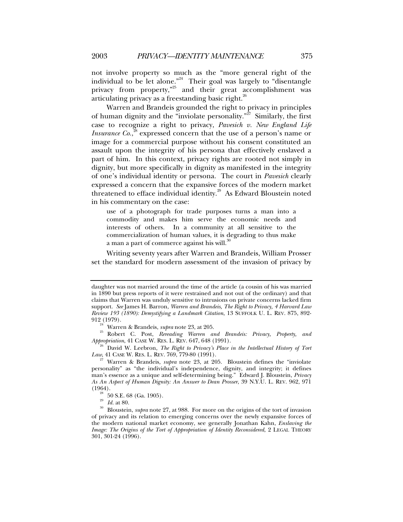not involve property so much as the "more general right of the individual to be let alone."<sup>24</sup> Their goal was largely to "disentangle privacy from property,<sup>"25</sup> and their great accomplishment was articulating privacy as a freestanding basic right. $^{26}$ 

Warren and Brandeis grounded the right to privacy in principles of human dignity and the "inviolate personality."<sup>27</sup> Similarly, the first case to recognize a right to privacy, *Pavesich v. New England Life Insurance Co.*,<sup>28</sup> expressed concern that the use of a person's name or image for a commercial purpose without his consent constituted an assault upon the integrity of his persona that effectively enslaved a part of him. In this context, privacy rights are rooted not simply in dignity, but more specifically in dignity as manifested in the integrity of one's individual identity or persona. The court in *Pavesich* clearly expressed a concern that the expansive forces of the modern market threatened to efface individual identity.<sup>29</sup> As Edward Bloustein noted in his commentary on the case:

use of a photograph for trade purposes turns a man into a commodity and makes him serve the economic needs and interests of others. In a community at all sensitive to the commercialization of human values, it is degrading to thus make a man a part of commerce against his will. $\alpha$ 

Writing seventy years after Warren and Brandeis, William Prosser set the standard for modern assessment of the invasion of privacy by

daughter was not married around the time of the article (a cousin of his was married in 1890 but press reports of it were restrained and not out of the ordinary) and that claims that Warren was unduly sensitive to intrusions on private concerns lacked firm support. *See* James H. Barron, *Warren and Brandeis, The Right to Privacy, 4 Harvard Law Review 193 (1890): Demystifying a Landmark Citation*, 13 SUFFOLK U. L. REV. 875, 892-

<sup>912 (1979).&</sup>lt;br><sup>24</sup> Warren & Brandeis, *supra* note 23, at 205.<br><sup>25</sup> Robert C. Post, *Rereading Warren and Brandeis: Privacy, Property, and <i>Appropriation*, 41 CASE W. RES. L. REV. 647, 648 (1991).

<sup>&</sup>lt;sup>26</sup> David W. Leebron, *The Right to Privacy's Place in the Intellectual History of Tort Law*, 41 CASE W. RES. L. REV. 769, 779-80 (1991).

*Warren & Brandeis, supra* note 23, at 205. Bloustein defines the "inviolate personality" as "the individual's independence, dignity, and integrity; it defines man's essence as a unique and self-determining being." Edward J. Bloustein, *Privacy As An Aspect of Human Dignity: An Answer to Dean Prosser*, 39 N.Y.U. L. REV. 962, 971

<sup>&</sup>lt;sup>28</sup> 50 S.E. 68 (Ga. 1905).<br><sup>29</sup> Id. at 80.

<sup>&</sup>lt;sup>30</sup> Bloustein, *supra* note 27, at 988. For more on the origins of the tort of invasion of privacy and its relation to emerging concerns over the newly expansive forces of the modern national market economy, see generally Jonathan Kahn, *Enslaving the Image: The Origins of the Tort of Appropriation of Identity Reconsidered*, 2 LEGAL THEORY 301, 301-24 (1996).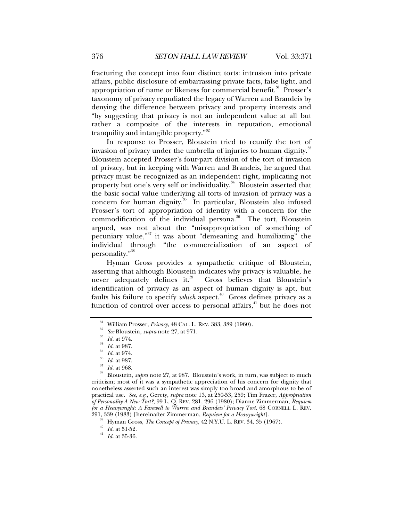fracturing the concept into four distinct torts: intrusion into private affairs, public disclosure of embarrassing private facts, false light, and appropriation of name or likeness for commercial benefit.<sup>31</sup> Prosser's taxonomy of privacy repudiated the legacy of Warren and Brandeis by denying the difference between privacy and property interests and "by suggesting that privacy is not an independent value at all but rather a composite of the interests in reputation, emotional tranquility and intangible property."<sup>32</sup>

In response to Prosser, Bloustein tried to reunify the tort of invasion of privacy under the umbrella of injuries to human dignity.<sup>33</sup> Bloustein accepted Prosser's four-part division of the tort of invasion of privacy, but in keeping with Warren and Brandeis, he argued that privacy must be recognized as an independent right, implicating not property but one's very self or individuality.<sup>34</sup> Bloustein asserted that the basic social value underlying all torts of invasion of privacy was a concern for human dignity.<sup>35</sup> In particular, Bloustein also infused Prosser's tort of appropriation of identity with a concern for the commodification of the individual persona.<sup>36</sup> The tort, Bloustein argued, was not about the "misappropriation of something of pecuniary value, $^{37}$  it was about "demeaning and humiliating" the individual through "the commercialization of an aspect of personality."38

Hyman Gross provides a sympathetic critique of Bloustein, asserting that although Bloustein indicates why privacy is valuable, he never adequately defines it.<sup>39</sup> Gross believes that Bloustein's identification of privacy as an aspect of human dignity is apt, but faults his failure to specify *which* aspect.<sup>40</sup> Gross defines privacy as a function of control over access to personal affairs,<sup>41</sup> but he does not

<sup>31</sup> William Prosser, *Privac*y, 48 CAL. L. REV. 383, 389 (1960).<br><sup>32</sup> *See* Bloustein, *supra* note 27, at 971.<br><sup>33</sup> *Id.* at 974.<br><sup>34</sup> *Id.* at 987.<br><sup>35</sup> *Id.* at 987.<br>*Id.* at 987.<br><sup>35</sup> *Id.* at 988.<br><sup>35</sup> *Id.* at 968. criticism; most of it was a sympathetic appreciation of his concern for dignity that nonetheless asserted such an interest was simply too broad and amorphous to be of practical use. *See, e.g*., Gerety, *supra* note 13, at 250-53, 259; Tim Frazer, *Appropriation of Personality-A New Tort?*, 99 L. Q. REV. 281, 296 (1980); Dianne Zimmerman, *Requiem for a Heavyweight: A Farewell to Warren and Brandeis' Privacy Tort*, 68 CORNELL L. REV.

<sup>39</sup> Hyman Gross, *The Concept of Privacy*, 42 N.Y.U. L. REV. 34, 35 (1967).<br><sup>40</sup> *Id.* at 51-52. *Id.* at 35-36.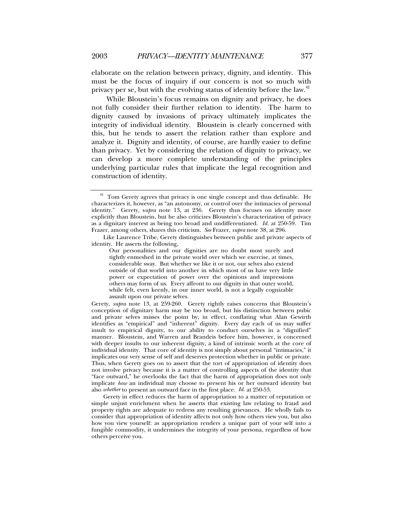elaborate on the relation between privacy, dignity, and identity. This must be the focus of inquiry if our concern is not so much with privacy per se, but with the evolving status of identity before the law.<sup> $42$ </sup>

While Bloustein's focus remains on dignity and privacy, he does not fully consider their further relation to identity. The harm to dignity caused by invasions of privacy ultimately implicates the integrity of individual identity. Bloustein is clearly concerned with this, but he tends to assert the relation rather than explore and analyze it. Dignity and identity, of course, are hardly easier to define than privacy. Yet by considering the relation of dignity to privacy, we can develop a more complete understanding of the principles underlying particular rules that implicate the legal recognition and construction of identity.

Gerety, *supra* note 13, at 259-260. Gerety rightly raises concerns that Bloustein's conception of dignitary harm may be too broad, but his distinction between pubic and private selves misses the point by, in effect, conflating what Alan Gewirth identifies as "empirical" and "inherent" dignity. Every day each of us may suffer insult to empirical dignity, to our ability to conduct ourselves in a "dignified" manner. Bloustein, and Warren and Brandeis before him, however, is concerned with deeper insults to our inherent dignity, a kind of intrinsic worth at the core of individual identity. That core of identity is not simply about personal "intimacies," it implicates our very sense of self and deserves protection whether in public or private. Thus, when Gerety goes on to assert that the tort of appropriation of identity does not involve privacy because it is a matter of controlling aspects of the identity that "face outward," he overlooks the fact that the harm of appropriation does not only implicate *how* an individual may choose to present his or her outward identity but also *whether* to present an outward face in the first place. *Id.* at 250-53.

Gerety in effect reduces the harm of appropriation to a matter of reputation or simple unjust enrichment when he asserts that existing law relating to fraud and property rights are adequate to redress any resulting grievances. He wholly fails to consider that appropriation of identity affects not only how others view you, but also how you view yourself: as appropriation renders a unique part of your self into a fungible commodity, it undermines the integrity of your persona, regardless of how others perceive you.

 $42$  Tom Gerety agrees that privacy is one single concept and thus definable. He characterizes it, however, as "an autonomy, or control over the intimacies of personal identity." Gerety, s*upra* note 13, at 236. Gerety thus focuses on identity more explicitly than Bloustein, but he also criticizes Bloustein's characterization of privacy as a dignitary interest as being too broad and undifferentiated. *Id.* at 250-59. Tim Frazer, among others, shares this criticism. *See* Frazer, *supra* note 38, at 296.

Like Laurence Tribe, Gerety distinguishes between public and private aspects of identity. He asserts the following,

Our personalities and our dignities are no doubt most surely and tightly enmeshed in the private world over which we exercise, at times, considerable sway. But whether we like it or not, our selves also extend outside of that world into another in which most of us have very little power or expectation of power over the opinions and impressions others may form of us. Every affront to our dignity in that outer world, while felt, even keenly, in our inner world, is not a legally cognizable assault upon our private selves.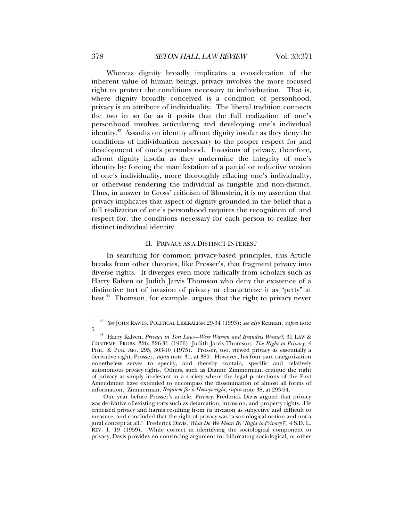Whereas dignity broadly implicates a consideration of the inherent value of human beings, privacy involves the more focused right to protect the conditions necessary to individuation. That is, where dignity broadly conceived is a condition of personhood, privacy is an attribute of individuality. The liberal tradition connects the two in so far as it posits that the full realization of one's personhood involves articulating and developing one's individual identity.<sup>43</sup> Assaults on identity affront dignity insofar as they deny the conditions of individuation necessary to the proper respect for and development of one's personhood. Invasions of privacy, therefore, affront dignity insofar as they undermine the integrity of one's identity by: forcing the manifestation of a partial or reductive version of one's individuality, more thoroughly effacing one's individuality, or otherwise rendering the individual as fungible and non-distinct. Thus, in answer to Gross' criticism of Bloustein, it is my assertion that privacy implicates that aspect of dignity grounded in the belief that a full realization of one's personhood requires the recognition of, and respect for, the conditions necessary for each person to realize her distinct individual identity.

# II. PRIVACY AS A DISTINCT INTEREST

In searching for common privacy-based principles, this Article breaks from other theories, like Prosser's, that fragment privacy into diverse rights. It diverges even more radically from scholars such as Harry Kalven or Judith Jarvis Thomson who deny the existence of a distinctive tort of invasion of privacy or characterize it as "petty" at best.<sup>44</sup> Thomson, for example, argues that the right to privacy never

<sup>43</sup> *See* JOHN RAWLS, POLITICAL LIBERALISM 29-34 (1993); *see also* Reiman, *supra* note

<sup>5. 44</sup> Harry Kalven, *Privacy in Tort Law—Were Warren and Brandeis Wrong?*, 31 LAW & CONTEMP. PROBS. 326, 326-31 (1966); Judith Jarvis Thomson, *The Right to Privacy*, 4 PHIL. & PUB. AFF. 295, 303-10 (1975). Prosser, too, viewed privacy as essentially a derivative right. Prosser, *supra* note 31, at 389. However, his four-part categorization nonetheless serves to specify, and thereby contain, specific and relatively autonomous privacy rights. Others, such as Dianne Zimmerman, critique the right of privacy as simply irrelevant in a society where the legal protections of the First Amendment have extended to encompass the dissemination of almost all forms of information. Zimmerman, *Requiem for a Heavyweight*, *supra* note 38, at 293-94.

One year before Prosser's article, *Privacy*, Frederick Davis argued that privacy was derivative of existing torts such as defamation, intrusion, and property rights. He criticized privacy and harms resulting from its invasion as subjective and difficult to measure, and concluded that the right of privacy was "a sociological notion and not a jural concept at all." Frederick Davis, *What Do We Mean By* '*Right to Privacy?*', 4 S.D. L. REV. 1, 19 (1959). While correct in identifying the sociological component to privacy, Davis provides no convincing argument for bifurcating sociological, or other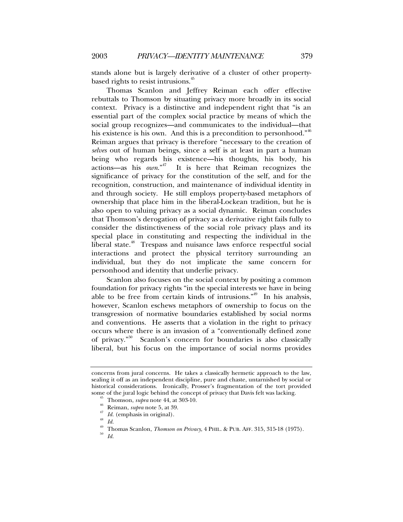stands alone but is largely derivative of a cluster of other propertybased rights to resist intrusions.<sup>45</sup>

Thomas Scanlon and Jeffrey Reiman each offer effective rebuttals to Thomson by situating privacy more broadly in its social context. Privacy is a distinctive and independent right that "is an essential part of the complex social practice by means of which the social group recognizes—and communicates to the individual—that his existence is his own. And this is a precondition to personhood.<sup> $10^{46}$ </sup> Reiman argues that privacy is therefore "necessary to the creation of *selves* out of human beings, since a self is at least in part a human being who regards his existence—his thoughts, his body, his actions—as his *own*."47 It is here that Reiman recognizes the significance of privacy for the constitution of the self, and for the recognition, construction, and maintenance of individual identity in and through society. He still employs property-based metaphors of ownership that place him in the liberal-Lockean tradition, but he is also open to valuing privacy as a social dynamic. Reiman concludes that Thomson's derogation of privacy as a derivative right fails fully to consider the distinctiveness of the social role privacy plays and its special place in constituting and respecting the individual in the liberal state.<sup>48</sup> Trespass and nuisance laws enforce respectful social interactions and protect the physical territory surrounding an individual, but they do not implicate the same concern for personhood and identity that underlie privacy.

Scanlon also focuses on the social context by positing a common foundation for privacy rights "in the special interests we have in being able to be free from certain kinds of intrusions."<sup>49</sup> In his analysis, however, Scanlon eschews metaphors of ownership to focus on the transgression of normative boundaries established by social norms and conventions. He asserts that a violation in the right to privacy occurs where there is an invasion of a "conventionally defined zone of privacy."50 Scanlon's concern for boundaries is also classically liberal, but his focus on the importance of social norms provides

concerns from jural concerns. He takes a classically hermetic approach to the law, sealing it off as an independent discipline, pure and chaste, untarnished by social or historical considerations. Ironically, Prosser's fragmentation of the tort provided some of the jural logic behind the concept of privacy that Davis felt was lacking.<br>
<sup>45</sup> Thomson, *supra* note 44, at 303-10.<br>
<sup>46</sup> Reiman, *supra* note 5, at 39.<br>
<sup>47</sup> *Id.* (emphasis in original).<br>
<sup>48</sup> *Id.* 

<sup>49</sup> Thomas Scanlon, *Thomson on Privacy*, 4 PHIL. & PUB. AFF. 315, 315-18 (1975).<br><sup>50</sup> Id.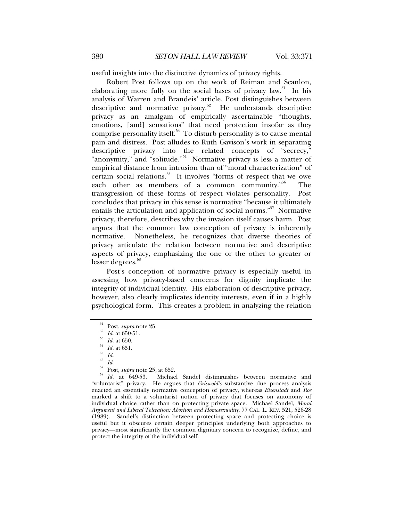useful insights into the distinctive dynamics of privacy rights.

Robert Post follows up on the work of Reiman and Scanlon, elaborating more fully on the social bases of privacy law.<sup>51</sup> In his analysis of Warren and Brandeis' article, Post distinguishes between descriptive and normative privacy.<sup>52</sup> He understands descriptive privacy as an amalgam of empirically ascertainable "thoughts, emotions, [and] sensations" that need protection insofar as they comprise personality itself. $53$  To disturb personality is to cause mental pain and distress. Post alludes to Ruth Gavison's work in separating descriptive privacy into the related concepts of "secrecy," "anonymity," and "solitude."<sup>54</sup> Normative privacy is less a matter of empirical distance from intrusion than of "moral characterization" of certain social relations.<sup>55</sup> It involves "forms of respect that we owe each other as members of a common community. $156$  The transgression of these forms of respect violates personality. Post concludes that privacy in this sense is normative "because it ultimately entails the articulation and application of social norms."57 Normative privacy, therefore, describes why the invasion itself causes harm. Post argues that the common law conception of privacy is inherently normative. Nonetheless, he recognizes that diverse theories of privacy articulate the relation between normative and descriptive aspects of privacy, emphasizing the one or the other to greater or lesser degrees.<sup>58</sup>

Post's conception of normative privacy is especially useful in assessing how privacy-based concerns for dignity implicate the integrity of individual identity. His elaboration of descriptive privacy, however, also clearly implicates identity interests, even if in a highly psychological form. This creates a problem in analyzing the relation

<sup>56</sup> *Id.*

<sup>51</sup> Post, *supra* note 25. 52 *Id.* at 650-51. 53 *Id.* at 650. 54 *Id.* at 651. 55 *Id.*

<sup>57</sup> Post, *supra* note 25, at 652. 58 *Id.* at 649-53. Michael Sandel distinguishes between normative and "voluntarist" privacy. He argues that *Griswold's* substantive due process analysis enacted an essentially normative conception of privacy, whereas *Eisenstadt* and *Roe* marked a shift to a voluntarist notion of privacy that focuses on autonomy of individual choice rather than on protecting private space. Michael Sandel, *Moral Argument and Liberal Toleration: Abortion and Homosexuality*, 77 CAL. L. REV. 521, 526-28 (1989). Sandel's distinction between protecting space and protecting choice is useful but it obscures certain deeper principles underlying both approaches to privacy—most significantly the common dignitary concern to recognize, define, and protect the integrity of the individual self.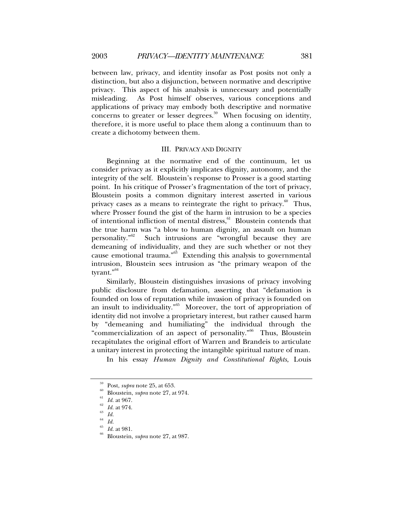between law, privacy, and identity insofar as Post posits not only a distinction, but also a disjunction, between normative and descriptive privacy. This aspect of his analysis is unnecessary and potentially misleading. As Post himself observes, various conceptions and applications of privacy may embody both descriptive and normative concerns to greater or lesser degrees.<sup>59</sup> When focusing on identity, therefore, it is more useful to place them along a continuum than to create a dichotomy between them.

# III. PRIVACY AND DIGNITY

Beginning at the normative end of the continuum, let us consider privacy as it explicitly implicates dignity, autonomy, and the integrity of the self. Bloustein's response to Prosser is a good starting point. In his critique of Prosser's fragmentation of the tort of privacy, Bloustein posits a common dignitary interest asserted in various privacy cases as a means to reintegrate the right to privacy. $60$  Thus, where Prosser found the gist of the harm in intrusion to be a species of intentional infliction of mental distress,<sup>61</sup> Bloustein contends that the true harm was "a blow to human dignity, an assault on human personality.<sup> $0.62$ </sup> Such intrusions are "wrongful because they are demeaning of individuality, and they are such whether or not they cause emotional trauma."63 Extending this analysis to governmental intrusion, Bloustein sees intrusion as "the primary weapon of the tyrant."<sup>64</sup>

Similarly, Bloustein distinguishes invasions of privacy involving public disclosure from defamation, asserting that "defamation is founded on loss of reputation while invasion of privacy is founded on an insult to individuality."<sup>65</sup> Moreover, the tort of appropriation of identity did not involve a proprietary interest, but rather caused harm by "demeaning and humiliating" the individual through the "commercialization of an aspect of personality."<sup>66</sup> Thus, Bloustein recapitulates the original effort of Warren and Brandeis to articulate a unitary interest in protecting the intangible spiritual nature of man.

In his essay *Human Dignity and Constitutional Rights*, Louis

<sup>&</sup>lt;sup>59</sup> Post, *supra* note 25, at 653.<br>
<sup>60</sup> Bloustein, *supra* note 27, at 974.<br>
<sup>61</sup> *Id.* at 967.<br>
<sup>62</sup> *Id.* at 974.<br>
<sup>63</sup> *Id.* 

<sup>64</sup> *Id.*

*Id.* at 981.<br>Bloustein, *supra* note 27, at 987.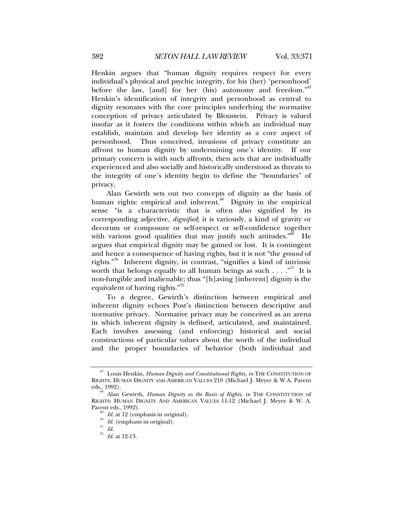Henkin argues that "human dignity requires respect for every individual's physical and psychic integrity, for his (her) 'personhood' before the law, [and] for her (his) autonomy and freedom."<sup>67</sup> Henkin's identification of integrity and personhood as central to dignity resonates with the core principles underlying the normative conception of privacy articulated by Bloustein. Privacy is valued insofar as it fosters the conditions within which an individual may establish, maintain and develop her identity as a core aspect of personhood. Thus conceived, invasions of privacy constitute an affront to human dignity by undermining one's identity. If our primary concern is with such affronts, then acts that are individually experienced and also socially and historically understood as threats to the integrity of one's identity begin to define the "boundaries" of privacy.

Alan Gewirth sets out two concepts of dignity as the basis of human rights: empirical and inherent.<sup>68</sup> Dignity in the empirical sense "is a characteristic that is often also signified by its corresponding adjective, *dignified*; it is variously, a kind of gravity or decorum or composure or self-respect or self-confidence together with various good qualities that may justify such attitudes.<sup> $569$ </sup> He argues that empirical dignity may be gained or lost. It is contingent and hence a consequence of having rights, but it is not "the *ground* of rights."70 Inherent dignity, in contrast, "signifies a kind of intrinsic worth that belongs equally to all human beings as such  $\dots$ ."<sup>71</sup> It is non-fungible and inalienable; thus "[h]aving [inherent] dignity is the equivalent of having rights."<sup>72</sup>

To a degree, Gewirth's distinction between empirical and inherent dignity echoes Post's distinction between descriptive and normative privacy. Normative privacy may be conceived as an arena in which inherent dignity is defined, articulated, and maintained. Each involves assessing (and enforcing) historical and social constructions of particular values about the worth of the individual and the proper boundaries of behavior (both individual and

<sup>67</sup> Louis Henkin, *Human Dignity and Constitutional Rights, in* THE CONSTITUTION OF RIGHTS: HUMAN DIGNITY AND AMERICAN VALUES 210 (Michael J. Meyer & W.A. Parent eds., 1992). 68 Alan Gewirth, *Human Dignity as the Basis of Rights*, *in* THE CONSTITUTION of

RIGHTS: HUMAN DIGNITY AND AMERICAN VALUES 11-12 (Michael J. Meyer & W. A. Parent eds., 1992).

 $\frac{69}{70}$  *Id.* at 12 (emphasis in original).  $\frac{70}{71}$  *Id.* (emphasis in original).

<sup>72</sup> *Id.* at 12-13.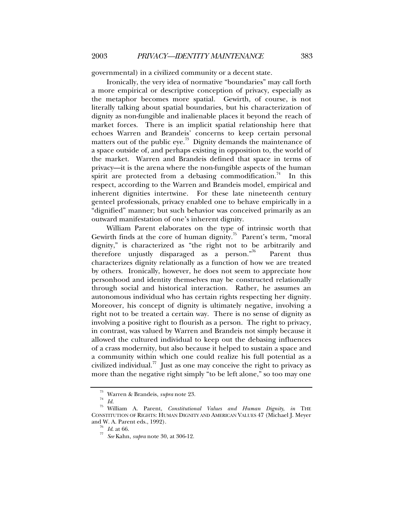governmental) in a civilized community or a decent state.

Ironically, the very idea of normative "boundaries" may call forth a more empirical or descriptive conception of privacy, especially as the metaphor becomes more spatial. Gewirth, of course, is not literally talking about spatial boundaries, but his characterization of dignity as non-fungible and inalienable places it beyond the reach of market forces. There is an implicit spatial relationship here that echoes Warren and Brandeis' concerns to keep certain personal matters out of the public eye.<sup>73</sup> Dignity demands the maintenance of a space outside of, and perhaps existing in opposition to, the world of the market. Warren and Brandeis defined that space in terms of privacy—it is the arena where the non-fungible aspects of the human spirit are protected from a debasing commodification.<sup>74</sup> In this respect, according to the Warren and Brandeis model, empirical and inherent dignities intertwine. For these late nineteenth century genteel professionals, privacy enabled one to behave empirically in a "dignified" manner; but such behavior was conceived primarily as an outward manifestation of one's inherent dignity.

William Parent elaborates on the type of intrinsic worth that Gewirth finds at the core of human dignity.<sup>75</sup> Parent's term, "moral" dignity," is characterized as "the right not to be arbitrarily and therefore unjustly disparaged as a person."76 Parent thus characterizes dignity relationally as a function of how we are treated by others. Ironically, however, he does not seem to appreciate how personhood and identity themselves may be constructed relationally through social and historical interaction. Rather, he assumes an autonomous individual who has certain rights respecting her dignity. Moreover, his concept of dignity is ultimately negative, involving a right not to be treated a certain way. There is no sense of dignity as involving a positive right to flourish as a person. The right to privacy, in contrast, was valued by Warren and Brandeis not simply because it allowed the cultured individual to keep out the debasing influences of a crass modernity, but also because it helped to sustain a space and a community within which one could realize his full potential as a civilized individual.<sup>77</sup> Just as one may conceive the right to privacy as more than the negative right simply "to be left alone," so too may one

<sup>73</sup> Warren & Brandeis, *supra* note 23. 74 *Id.*

<sup>75</sup> William A. Parent, *Constitutional Values and Human Dignity*, *in* THE CONSTITUTION OF RIGHTS: HUMAN DIGNITY AND AMERICAN VALUES 47 (Michael J. Meyer

<sup>&</sup>lt;sup>76</sup> *Id.* at 66.<br><sup>77</sup> *See* Kahn, *supra* note 30, at 306-12.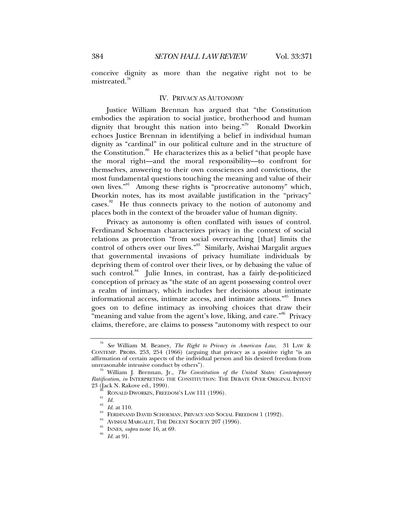conceive dignity as more than the negative right not to be mistreated.<sup>78</sup>

# IV. PRIVACY AS AUTONOMY

Justice William Brennan has argued that "the Constitution embodies the aspiration to social justice, brotherhood and human dignity that brought this nation into being."<sup>79</sup> Ronald Dworkin echoes Justice Brennan in identifying a belief in individual human dignity as "cardinal" in our political culture and in the structure of the Constitution.<sup>80</sup> He characterizes this as a belief "that people have the moral right—and the moral responsibility—to confront for themselves, answering to their own consciences and convictions, the most fundamental questions touching the meaning and value of their own lives."<sup>81</sup> Among these rights is "procreative autonomy" which, Dworkin notes, has its most available justification in the "privacy" cases.<sup>82</sup> He thus connects privacy to the notion of autonomy and places both in the context of the broader value of human dignity.

Privacy as autonomy is often conflated with issues of control. Ferdinand Schoeman characterizes privacy in the context of social relations as protection "from social overreaching [that] limits the control of others over our lives."<sup>83</sup> Similarly, Avishai Margalit argues that governmental invasions of privacy humiliate individuals by depriving them of control over their lives, or by debasing the value of such control.<sup>84</sup> Julie Innes, in contrast, has a fairly de-politicized conception of privacy as "the state of an agent possessing control over a realm of intimacy, which includes her decisions about intimate informational access, intimate access, and intimate actions."85 Innes goes on to define intimacy as involving choices that draw their "meaning and value from the agent's love, liking, and care."<sup>86</sup> Privacy claims, therefore, are claims to possess "autonomy with respect to our

<sup>78</sup> *See* William M. Beaney, *The Right to Privacy in American Law*, 31 LAW & CONTEMP. PROBS. 253, 254 (1966) (arguing that privacy as a positive right "is an affirmation of certain aspects of the individual person and his desired freedom from

<sup>&</sup>lt;sup>79</sup> William J. Brennan, Jr., *The Constitution of the United States: Contemporary Ratification*, *in* INTERPRETING THE CONSTITUTION: THE DEBATE OVER ORIGINAL INTENT

<sup>23 (</sup>Jack N. Rakove ed., 1990).<br><sup>80</sup> RONALD DWORKIN, FREEDOM'S LAW 111 (1996).<br><sup>82</sup> *Id.* at 110.

FERDINAND DAVID SCHOEMAN, PRIVACY AND SOCIAL FREEDOM 1 (1992).<br>AVISHAI MARGALIT, THE DECENT SOCIETY 207 (1996).<br>INNES, *supra* note 16, at 69. *Id.* at 91.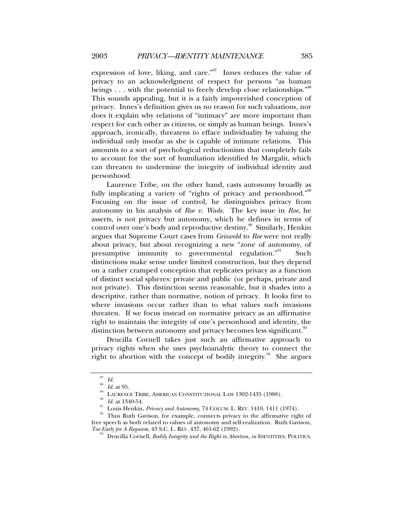expression of love, liking, and care."<sup>87</sup> Innes reduces the value of privacy to an acknowledgment of respect for persons "as human beings  $\dots$  with the potential to freely develop close relationships.<sup>"88</sup> This sounds appealing, but it is a fairly impoverished conception of privacy. Innes's definition gives us no reason for such valuations, nor does it explain why relations of "intimacy" are more important than respect for each other as citizens, or simply as human beings. Innes's approach, ironically, threatens to efface individuality by valuing the individual only insofar as she is capable of intimate relations. This amounts to a sort of psychological reductionism that completely fails to account for the sort of humiliation identified by Margalit, which can threaten to undermine the integrity of individual identity and personhood.

Laurence Tribe, on the other hand, casts autonomy broadly as fully implicating a variety of "rights of privacy and personhood."<sup>89</sup> Focusing on the issue of control, he distinguishes privacy from autonomy in his analysis of *Roe v. Wade*. The key issue in *Roe*, he asserts, is not privacy but autonomy, which he defines in terms of control over one's body and reproductive destiny.<sup>90</sup> Similarly, Henkin argues that Supreme Court cases from *Griswold* to *Roe* were not really about privacy, but about recognizing a new "zone of autonomy, of presumptive immunity to governmental regulation."<sup>91</sup> Such distinctions make sense under limited construction, but they depend on a rather cramped conception that replicates privacy as a function of distinct social spheres: private and public (or perhaps, private and not private). This distinction seems reasonable, but it shades into a descriptive, rather than normative, notion of privacy. It looks first to where invasions occur rather than to what values such invasions threaten. If we focus instead on normative privacy as an affirmative right to maintain the integrity of one's personhood and identity, the distinction between autonomy and privacy becomes less significant.<sup>92</sup>

Drucilla Cornell takes just such an affirmative approach to privacy rights when she uses psychoanalytic theory to connect the right to abortion with the concept of bodily integrity.<sup>93</sup> She argues

<sup>87</sup> *Id.*

<sup>&</sup>lt;sup>88</sup> *Id.* at 95.<br><sup>89</sup> LAURENCE TRIBE, AMERICAN CONSTITUTIONAL LAW 1302-1435 (1988).<br><sup>90</sup> *Id.* at 1340-54.<br><sup>91</sup> Louis Henkin, *Privacy and Autonomy*, 74 COLUM. L. REV. 1410, 1411 (1974).<br><sup>92</sup> Thus Ruth Gavison, for examp free speech as both related to values of autonomy and self-realization. Ruth Gavison, *Too Early for A Requiem, 43 S.C. L. REV. 437, 461-62 (1992).*<br><sup>93</sup> Drucilla Cornell, *Bodily Integrity and the Right to Abortion, in* IDENTITIES, POLITICS,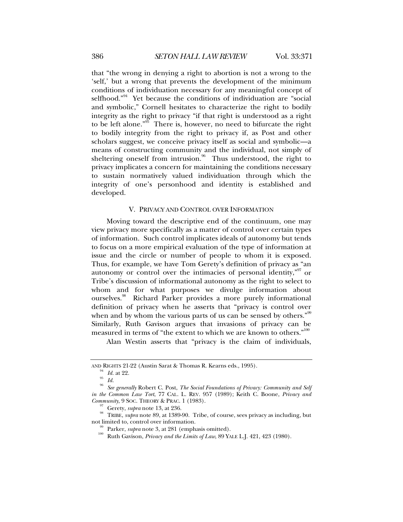that "the wrong in denying a right to abortion is not a wrong to the 'self,' but a wrong that prevents the development of the minimum conditions of individuation necessary for any meaningful concept of selfhood."<sup>94</sup> Yet because the conditions of individuation are "social and symbolic," Cornell hesitates to characterize the right to bodily integrity as the right to privacy "if that right is understood as a right to be left alone."<sup>95</sup> There is, however, no need to bifurcate the right to bodily integrity from the right to privacy if, as Post and other scholars suggest, we conceive privacy itself as social and symbolic—a means of constructing community and the individual, not simply of sheltering oneself from intrusion.<sup>96</sup> Thus understood, the right to privacy implicates a concern for maintaining the conditions necessary to sustain normatively valued individuation through which the integrity of one's personhood and identity is established and developed.

#### V. PRIVACY AND CONTROL OVER INFORMATION

Moving toward the descriptive end of the continuum, one may view privacy more specifically as a matter of control over certain types of information. Such control implicates ideals of autonomy but tends to focus on a more empirical evaluation of the type of information at issue and the circle or number of people to whom it is exposed. Thus, for example, we have Tom Gerety's definition of privacy as "an autonomy or control over the intimacies of personal identity,"<sup>97</sup> or Tribe's discussion of informational autonomy as the right to select to whom and for what purposes we divulge information about ourselves.<sup>98</sup> Richard Parker provides a more purely informational definition of privacy when he asserts that "privacy is control over when and by whom the various parts of us can be sensed by others."<sup>99</sup> Similarly, Ruth Gavison argues that invasions of privacy can be measured in terms of "the extent to which we are known to others."<sup>100</sup>

Alan Westin asserts that "privacy is the claim of individuals,

AND RIGHTS 21-22 (Austin Sarat & Thomas R. Kearns eds., 1995).<br><sup>94</sup> *Id.* at 22.<br>*Id.* 

<sup>96</sup> *See generally* Robert C. Post, *The Social Foundations of Privacy: Community and Self in the Common Law Tort*, 77 CAL. L. REV. 957 (1989); Keith C. Boone, *Privacy and*

<sup>&</sup>lt;sup>97</sup> Gerety, *supra* note 13, at 236.<br><sup>98</sup> TRIBE, *supra* note 89, at 1389-90. Tribe, of course, sees privacy as including, but not limited to, control over information.

<sup>&</sup>lt;sup>99</sup> Parker, *supra* note 3, at 281 (emphasis omitted).<br><sup>100</sup> Ruth Gavison, *Privacy and the Limits of Law*, 89 YALE L.J. 421, 423 (1980).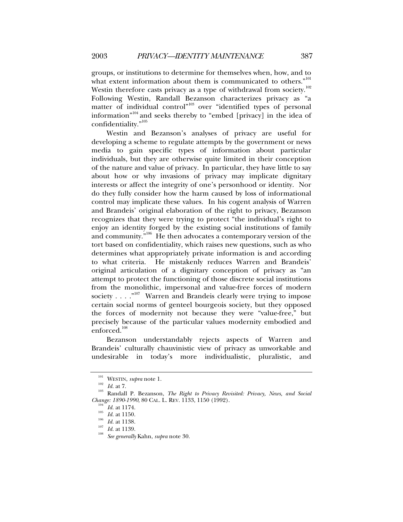groups, or institutions to determine for themselves when, how, and to what extent information about them is communicated to others."<sup>101</sup> Westin therefore casts privacy as a type of withdrawal from society.<sup>102</sup> Following Westin, Randall Bezanson characterizes privacy as "a matter of individual control"<sup>103</sup> over "identified types of personal information<sup>"104</sup> and seeks thereby to "embed [privacy] in the idea of confidentiality."105

Westin and Bezanson's analyses of privacy are useful for developing a scheme to regulate attempts by the government or news media to gain specific types of information about particular individuals, but they are otherwise quite limited in their conception of the nature and value of privacy. In particular, they have little to say about how or why invasions of privacy may implicate dignitary interests or affect the integrity of one's personhood or identity. Nor do they fully consider how the harm caused by loss of informational control may implicate these values. In his cogent analysis of Warren and Brandeis' original elaboration of the right to privacy, Bezanson recognizes that they were trying to protect "the individual's right to enjoy an identity forged by the existing social institutions of family and community."106 He then advocates a contemporary version of the tort based on confidentiality, which raises new questions, such as who determines what appropriately private information is and according to what criteria. He mistakenly reduces Warren and Brandeis' original articulation of a dignitary conception of privacy as "an attempt to protect the functioning of those discrete social institutions from the monolithic, impersonal and value-free forces of modern society . . . .  $\cdot$ <sup>107</sup> Warren and Brandeis clearly were trying to impose certain social norms of genteel bourgeois society, but they opposed the forces of modernity not because they were "value-free," but precisely because of the particular values modernity embodied and enforced.<sup>108</sup>

Bezanson understandably rejects aspects of Warren and Brandeis' culturally chauvinistic view of privacy as unworkable and undesirable in today's more individualistic, pluralistic, and

<sup>101</sup> WESTIN, *supra* note 1. 102 *Id.* at 7. 103 Randall P. Bezanson, *The Right to Privacy Revisited: Privacy, News, and Social Change: 1890-1990,* 80 CAL. L. REV. 1133, 1150 (1992).<br><sup>104</sup> *Id.* at 1174.<br><sup>105</sup> *Id.* at 1150.<br><sup>106</sup> *Id.* at 1138.<br><sup>107</sup> *Id.* at 1139.<br>*See generally* Kahn, *supra* note 30.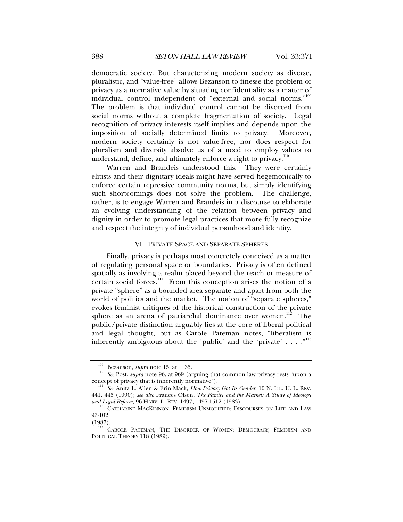democratic society. But characterizing modern society as diverse, pluralistic, and "value-free" allows Bezanson to finesse the problem of privacy as a normative value by situating confidentiality as a matter of individual control independent of "external and social norms."109 The problem is that individual control cannot be divorced from social norms without a complete fragmentation of society. Legal recognition of privacy interests itself implies and depends upon the imposition of socially determined limits to privacy. Moreover, modern society certainly is not value-free, nor does respect for pluralism and diversity absolve us of a need to employ values to understand, define, and ultimately enforce a right to privacy.<sup>110</sup>

Warren and Brandeis understood this. They were certainly elitists and their dignitary ideals might have served hegemonically to enforce certain repressive community norms, but simply identifying such shortcomings does not solve the problem. The challenge, rather, is to engage Warren and Brandeis in a discourse to elaborate an evolving understanding of the relation between privacy and dignity in order to promote legal practices that more fully recognize and respect the integrity of individual personhood and identity.

### VI. PRIVATE SPACE AND SEPARATE SPHERES

Finally, privacy is perhaps most concretely conceived as a matter of regulating personal space or boundaries. Privacy is often defined spatially as involving a realm placed beyond the reach or measure of certain social forces.<sup>111</sup> From this conception arises the notion of a private "sphere" as a bounded area separate and apart from both the world of politics and the market. The notion of "separate spheres," evokes feminist critiques of the historical construction of the private sphere as an arena of patriarchal dominance over women.<sup>112</sup> The public/private distinction arguably lies at the core of liberal political and legal thought, but as Carole Pateman notes, "liberalism is inherently ambiguous about the 'public' and the 'private' . . . ."<sup>113</sup>

<sup>&</sup>lt;sup>109</sup> Bezanson, *supra* note 15, at 1135.<br><sup>110</sup> *See* Post, *supra* note 96, at 969 (arguing that common law privacy rests "upon a concept of privacy that is inherently normative").

<sup>&</sup>lt;sup>111</sup> See Anita L. Allen & Erin Mack, *How Privacy Got Its Gender*, 10 N. ILL. U. L. REV. 441, 445 (1990); *see also* Frances Olsen, *The Family and the Market: A Study of Ideology* 

<sup>&</sup>lt;sup>112</sup> CATHARINE MACKINNON, FEMINISM UNMODIFIED: DISCOURSES ON LIFE AND LAW 93-102

<sup>(1987).&</sup>lt;br> $113$  Carole Pateman, The Disorder of Women: Democracy, Feminism and POLITICAL THEORY 118 (1989).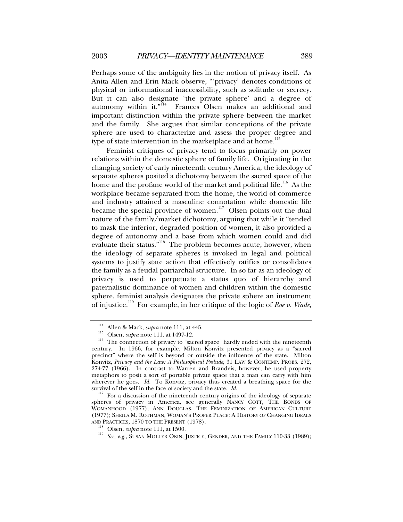Perhaps some of the ambiguity lies in the notion of privacy itself. As Anita Allen and Erin Mack observe, "'privacy' denotes conditions of physical or informational inaccessibility, such as solitude or secrecy. But it can also designate 'the private sphere' and a degree of autonomy within it."<sup>114</sup> Frances Olsen makes an additional and important distinction within the private sphere between the market and the family. She argues that similar conceptions of the private sphere are used to characterize and assess the proper degree and type of state intervention in the marketplace and at home.<sup>115</sup>

Feminist critiques of privacy tend to focus primarily on power relations within the domestic sphere of family life. Originating in the changing society of early nineteenth century America, the ideology of separate spheres posited a dichotomy between the sacred space of the home and the profane world of the market and political life.<sup>116</sup> As the workplace became separated from the home, the world of commerce and industry attained a masculine connotation while domestic life became the special province of women.<sup>117</sup> Olsen points out the dual nature of the family/market dichotomy, arguing that while it "tended to mask the inferior, degraded position of women, it also provided a degree of autonomy and a base from which women could and did evaluate their status."<sup>118</sup> The problem becomes acute, however, when the ideology of separate spheres is invoked in legal and political systems to justify state action that effectively ratifies or consolidates the family as a feudal patriarchal structure. In so far as an ideology of privacy is used to perpetuate a status quo of hierarchy and paternalistic dominance of women and children within the domestic sphere, feminist analysis designates the private sphere an instrument of injustice.119 For example, in her critique of the logic of *Roe v. Wade*,

<sup>117</sup> For a discussion of the nineteenth century origins of the ideology of separate. spheres of privacy in America, see generally NANCY COTT, THE BONDS OF WOMANHOOD (1977); ANN DOUGLAS, THE FEMINIZATION OF AMERICAN CULTURE (1977); SHEILA M. ROTHMAN, WOMAN'S PROPER PLACE: A HISTORY OF CHANGING IDEALS

<sup>&</sup>lt;sup>114</sup> Allen & Mack, *supra* note 111, at 445.<br><sup>115</sup> Olsen, *supra* note 111, at 1497-12.<br><sup>116</sup> The connection of privacy to "sacred space" hardly ended with the nineteenth century. In 1966, for example, Milton Konvitz presented privacy as a "sacred precinct" where the self is beyond or outside the influence of the state. Milton Konvitz, *Privacy and the Law: A Philosophical Prelude*, 31 LAW & CONTEMP. PROBS. 272, 274-77 (1966). In contrast to Warren and Brandeis, however, he used property metaphors to posit a sort of portable private space that a man can carry with him wherever he goes.  $Id$ . To Konvitz, privacy thus created a breathing space for the survival of the self in the face of society and the state.  $Id$ .

<sup>&</sup>lt;sup>118</sup> Olsen, *supra* note 111, at 1500.<br><sup>119</sup> See, e.g., SUSAN MOLLER OKIN, JUSTICE, GENDER, AND THE FAMILY 110-33 (1989);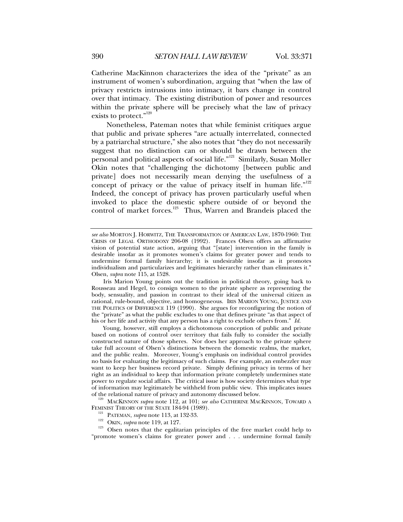Catherine MacKinnon characterizes the idea of the "private" as an instrument of women's subordination, arguing that "when the law of privacy restricts intrusions into intimacy, it bars change in control over that intimacy. The existing distribution of power and resources within the private sphere will be precisely what the law of privacy

exists to protect."<sup>120</sup> Nonetheless, Pateman notes that while feminist critiques argue that public and private spheres "are actually interrelated, connected by a patriarchal structure," she also notes that "they do not necessarily suggest that no distinction can or should be drawn between the personal and political aspects of social life."121 Similarly, Susan Moller Okin notes that "challenging the dichotomy [between public and private] does not necessarily mean denying the usefulness of a concept of privacy or the value of privacy itself in human life." $122$ Indeed, the concept of privacy has proven particularly useful when invoked to place the domestic sphere outside of or beyond the control of market forces.<sup>123</sup> Thus, Warren and Brandeis placed the

Iris Marion Young points out the tradition in political theory, going back to Rousseau and Hegel, to consign women to the private sphere as representing the body, sensuality, and passion in contrast to their ideal of the universal citizen as rational, rule-bound, objective, and homogeneous. IRIS MARION YOUNG, JUSTICE AND THE POLITICS OF DIFFERENCE 119 (1990). She argues for reconfiguring the notion of the "private" as what the public excludes to one that defines private "as that aspect of his or her life and activity that any person has a right to exclude others from." *Id.*

Young, however, still employs a dichotomous conception of public and private based on notions of control over territory that fails fully to consider the socially constructed nature of those spheres. Nor does her approach to the private sphere take full account of Olsen's distinctions between the domestic realms, the market, and the public realm. Moreover, Young's emphasis on individual control provides no basis for evaluating the legitimacy of such claims. For example, an embezzler may want to keep her business record private. Simply defining privacy in terms of her right as an individual to keep that information private completely undermines state power to regulate social affairs. The critical issue is how society determines what type of information may legitimately be withheld from public view. This implicates issues

<sup>120</sup> MACKINNON *supra* note 112, at 101; *see also* CATHERINE MACKINNON, TOWARD A FEMINIST THEORY OF THE STATE 184-94 (1989).

- 
- 

FEMINIST PATEMAN, *supra* note 113, at 132-33.<br>
OKIN, *supra* note 119, at 127.<br>
<sup>123</sup> Olsen notes that the egalitarian principles of the free market could help to "promote women's claims for greater power and . . . undermine formal family

*see also* MORTON J. HORWITZ, THE TRANSFORMATION OF AMERICAN LAW, 1870-1960: THE CRISIS OF LEGAL ORTHODOXY 206-08 (1992). Frances Olsen offers an affirmative vision of potential state action, arguing that "[state] intervention in the family is desirable insofar as it promotes women's claims for greater power and tends to undermine formal family hierarchy; it is undesirable insofar as it promotes individualism and particularizes and legitimates hierarchy rather than eliminates it." Olsen, *supra* note 115, at 1528.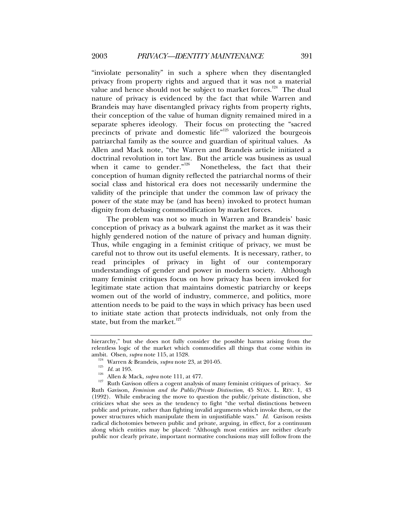"inviolate personality" in such a sphere when they disentangled privacy from property rights and argued that it was not a material value and hence should not be subject to market forces.<sup>124</sup> The dual nature of privacy is evidenced by the fact that while Warren and Brandeis may have disentangled privacy rights from property rights, their conception of the value of human dignity remained mired in a separate spheres ideology. Their focus on protecting the "sacred precincts of private and domestic life"<sup>125</sup> valorized the bourgeois patriarchal family as the source and guardian of spiritual values. As Allen and Mack note, "the Warren and Brandeis article initiated a doctrinal revolution in tort law. But the article was business as usual when it came to gender.<sup>"126</sup> Nonetheless, the fact that their Nonetheless, the fact that their conception of human dignity reflected the patriarchal norms of their social class and historical era does not necessarily undermine the validity of the principle that under the common law of privacy the power of the state may be (and has been) invoked to protect human dignity from debasing commodification by market forces.

The problem was not so much in Warren and Brandeis' basic conception of privacy as a bulwark against the market as it was their highly gendered notion of the nature of privacy and human dignity. Thus, while engaging in a feminist critique of privacy, we must be careful not to throw out its useful elements. It is necessary, rather, to read principles of privacy in light of our contemporary understandings of gender and power in modern society. Although many feminist critiques focus on how privacy has been invoked for legitimate state action that maintains domestic patriarchy or keeps women out of the world of industry, commerce, and politics, more attention needs to be paid to the ways in which privacy has been used to initiate state action that protects individuals, not only from the state, but from the market. $127$ 

hierarchy," but she does not fully consider the possible harms arising from the relentless logic of the market which commodifies all things that come within its ambit. Olsen, *supra* note 115, at 1528.

<sup>&</sup>lt;sup>124</sup> Warren & Brandeis, *supra* note 23, at 201-05.<br>
<sup>125</sup> *Id.* at 195.<br>
<sup>126</sup> Allen & Mack, *supra* note 111, at 477.<br>
<sup>127</sup> Ruth Gavison offers a cogent analysis of many feminist critiques of privacy. See Ruth Gavison, *Feminism and the Public/Private Distinction*, 45 STAN. L. REV. 1, 43 (1992). While embracing the move to question the public/private distinction, she criticizes what she sees as the tendency to fight "the verbal distinctions between public and private, rather than fighting invalid arguments which invoke them, or the power structures which manipulate them in unjustifiable ways." *Id.* Gavison resists radical dichotomies between public and private, arguing, in effect, for a continuum along which entities may be placed: "Although most entities are neither clearly public nor clearly private, important normative conclusions may still follow from the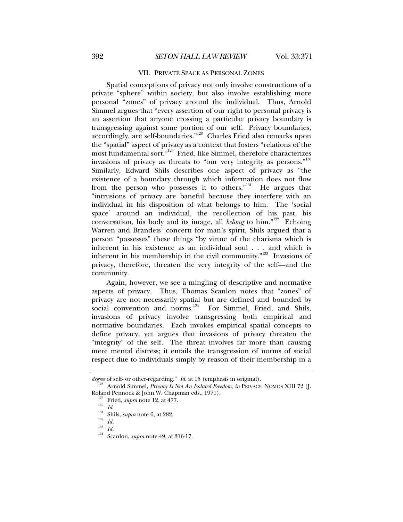#### VII. PRIVATE SPACE AS PERSONAL ZONES

Spatial conceptions of privacy not only involve constructions of a private "sphere" within society, but also involve establishing more personal "zones" of privacy around the individual. Thus, Arnold Simmel argues that "every assertion of our right to personal privacy is an assertion that anyone crossing a particular privacy boundary is transgressing against some portion of our self. Privacy boundaries, accordingly, are self-boundaries."128 Charles Fried also remarks upon the "spatial" aspect of privacy as a context that fosters "relations of the most fundamental sort."<sup>129</sup> Fried, like Simmel, therefore characterizes invasions of privacy as threats to "our very integrity as persons."<sup>130</sup> Similarly, Edward Shils describes one aspect of privacy as "the existence of a boundary through which information does not flow from the person who possesses it to others. $131$  He argues that "intrusions of privacy are baneful because they interfere with an individual in his disposition of what belongs to him. The 'social space' around an individual, the recollection of his past, his conversation, his body and its image, all *belong* to him."<sup>132</sup> Echoing Warren and Brandeis' concern for man's spirit, Shils argued that a person "possesses" these things "by virtue of the charisma which is inherent in his existence as an individual soul . . . and which is inherent in his membership in the civil community."<sup>133</sup> Invasions of privacy, therefore, threaten the very integrity of the self—and the community.

Again, however, we see a mingling of descriptive and normative aspects of privacy. Thus, Thomas Scanlon notes that "zones" of privacy are not necessarily spatial but are defined and bounded by social convention and norms.<sup>134</sup> For Simmel, Fried, and Shils, invasions of privacy involve transgressing both empirical and normative boundaries. Each invokes empirical spatial concepts to define privacy, yet argues that invasions of privacy threaten the "integrity" of the self. The threat involves far more than causing mere mental distress; it entails the transgression of norms of social respect due to individuals simply by reason of their membership in a

*degree* of self- or other-regarding." *Id.* at 15 (emphasis in original).<br><sup>128</sup> Arnold Simmel, *Privacy Is Not An Isolated Freedom*, *in* PRIVACY: NOMOS XIII 72 (J. Roland Pennock & John W. Chapman eds., 1971).<br><sup>129</sup> Fried, *supra* note 12, at 477.<br><sup>131</sup> Id.<br><sup>131</sup> Shils, *supra* note 6, at 282.<br><sup>132</sup> Id.<br><sup>134</sup> Scanlon, *supra* note 49, at 316-17.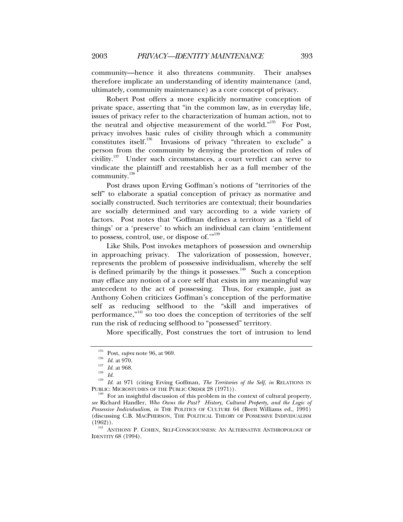community—hence it also threatens community. Their analyses therefore implicate an understanding of identity maintenance (and, ultimately, community maintenance) as a core concept of privacy.

Robert Post offers a more explicitly normative conception of private space, asserting that "in the common law, as in everyday life, issues of privacy refer to the characterization of human action, not to the neutral and objective measurement of the world."<sup>135</sup> For Post, privacy involves basic rules of civility through which a community constitutes itself.<sup>136</sup> Invasions of privacy "threaten to exclude" a person from the community by denying the protection of rules of civility.<sup>137</sup> Under such circumstances, a court verdict can serve to vindicate the plaintiff and reestablish her as a full member of the community.<sup>138</sup>

Post draws upon Erving Goffman's notions of "territories of the self" to elaborate a spatial conception of privacy as normative and socially constructed. Such territories are contextual; their boundaries are socially determined and vary according to a wide variety of factors. Post notes that "Goffman defines a territory as a 'field of things' or a 'preserve' to which an individual can claim 'entitlement to possess, control, use, or dispose of."<sup>139</sup>

Like Shils, Post invokes metaphors of possession and ownership in approaching privacy. The valorization of possession, however, represents the problem of possessive individualism, whereby the self is defined primarily by the things it possesses.<sup>140</sup> Such a conception may efface any notion of a core self that exists in any meaningful way antecedent to the act of possessing. Thus, for example, just as Anthony Cohen criticizes Goffman's conception of the performative self as reducing selfhood to the "skill and imperatives of performance,"<sup>141</sup> so too does the conception of territories of the self run the risk of reducing selfhood to "possessed" territory.

More specifically, Post construes the tort of intrusion to lend

<sup>135</sup> Post, *supra* note 96, at 969.<br>
136 *Id.* at 970.<br>
138 *Id.* 14. at 968.<br>
1<sup>139</sup> *Id.* at 971 (citing Erving Goffman, *The Territories of the Self*, *in* RELATIONS IN

PUBLIC: MICROSTUDIES OF THE PUBLIC ORDER 28 (1971)).<br><sup>140</sup> For an insightful discussion of this problem in the context of cultural property, *see* Richard Handler, *Who Owns the Past? History, Cultural Property, and the Logic of Possessive Individualism*, *in* THE POLITICS OF CULTURE 64 (Brett Williams ed., 1991) (discussing C.B. MACPHERSON, THE POLITICAL THEORY OF POSSESSIVE INDIVIDUALISM (1962)). 141 ANTHONY P. COHEN, SELF-CONSCIOUSNESS: AN ALTERNATIVE ANTHROPOLOGY OF

IDENTITY 68 (1994).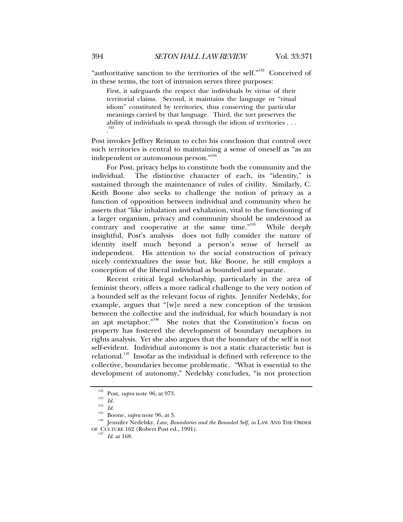"authoritative sanction to the territories of the self."142 Conceived of in these terms, the tort of intrusion serves three purposes:

First, it safeguards the respect due individuals by virtue of their territorial claims. Second, it maintains the language or "ritual idiom" constituted by territories, thus conserving the particular meanings carried by that language. Third, the tort preserves the ability of individuals to speak through the idiom of territories . . . . 143

Post invokes Jeffrey Reiman to echo his conclusion that control over such territories is central to maintaining a sense of oneself as "as an independent or autonomous person."<sup>144</sup>

For Post, privacy helps to constitute both the community and the individual. The distinctive character of each, its "identity," is sustained through the maintenance of rules of civility. Similarly, C. Keith Boone also seeks to challenge the notion of privacy as a function of opposition between individual and community when he asserts that "like inhalation and exhalation, vital to the functioning of a larger organism, privacy and community should be understood as contrary and cooperative at the same time."<sup>145</sup> While deeply insightful, Post's analysis does not fully consider the nature of identity itself much beyond a person's sense of herself as independent. His attention to the social construction of privacy nicely contextualizes the issue but, like Boone, he still employs a conception of the liberal individual as bounded and separate.

Recent critical legal scholarship, particularly in the area of feminist theory, offers a more radical challenge to the very notion of a bounded self as the relevant focus of rights. Jennifer Nedelsky, for example, argues that "[w]e need a new conception of the tension between the collective and the individual, for which boundary is not an apt metaphor."146 She notes that the Constitution's focus on property has fostered the development of boundary metaphors in rights analysis. Yet she also argues that the boundary of the self is not self-evident. Individual autonomy is not a static characteristic but is relational.<sup>147</sup> Insofar as the individual is defined with reference to the collective, boundaries become problematic. "What is essential to the development of autonomy," Nedelsky concludes, "is not protection

<sup>142</sup> Post, *supra* note 96, at 973. 143 *Id.* <sup>144</sup> *Id.* 145 Boone, *supra* note 96, at 3. 146 Jennifer Nedelsky, *Law, Boundaries and the Bounded Self*, *in* LAW AND THE ORDER OF CULTURE 162 (Robert Post ed., 1991). 147 *Id.* at 168.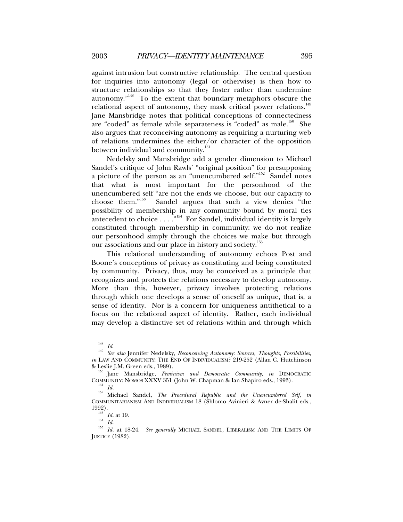against intrusion but constructive relationship. The central question for inquiries into autonomy (legal or otherwise) is then how to structure relationships so that they foster rather than undermine autonomy."148 To the extent that boundary metaphors obscure the relational aspect of autonomy, they mask critical power relations.<sup>149</sup> Jane Mansbridge notes that political conceptions of connectedness are "coded" as female while separateness is "coded" as male.<sup>150</sup> She also argues that reconceiving autonomy as requiring a nurturing web of relations undermines the either/or character of the opposition between individual and community.<sup>151</sup>

Nedelsky and Mansbridge add a gender dimension to Michael Sandel's critique of John Rawls' "original position" for presupposing a picture of the person as an "unencumbered self."<sup>152</sup> Sandel notes that what is most important for the personhood of the unencumbered self "are not the ends we choose, but our capacity to choose them."153 Sandel argues that such a view denies "the possibility of membership in any community bound by moral ties antecedent to choice  $\dots$ .  $^{1,154}$  For Sandel, individual identity is largely constituted through membership in community: we do not realize our personhood simply through the choices we make but through our associations and our place in history and society.<sup>155</sup>

This relational understanding of autonomy echoes Post and Boone's conceptions of privacy as constituting and being constituted by community. Privacy, thus, may be conceived as a principle that recognizes and protects the relations necessary to develop autonomy. More than this, however, privacy involves protecting relations through which one develops a sense of oneself as unique, that is, a sense of identity. Nor is a concern for uniqueness antithetical to a focus on the relational aspect of identity. Rather, each individual may develop a distinctive set of relations within and through which

<sup>148</sup> *Id*. 149 *See also* Jennifer Nedelsky, *Reconceiving Autonomy: Sources, Thoughts, Possibilities*, *in* LAW AND COMMUNITY: THE END OF INDIVIDUALISM? 219-252 (Allan C. Hutchinson

<sup>&</sup>amp; Leslie J.M. Green eds., 1989).<br><sup>150</sup> Jane Mansbridge, *Feminism and Democratic Community*, *in* DEMOCRATIC COMMUNITY: NOMOS XXXV 351 (John W. Chapman & Ian Shapiro eds., 1993).

<sup>&</sup>lt;sup>151</sup> Id.<br><sup>152</sup> Michael Sandel, *The Procedural Republic and the Unencumbered Self*, *in* COMMUNITARIANISM AND INDIVIDUALISM 18 (Shlomo Avinieri & Avner de-Shalit eds., 1992).<br>1992).

<sup>1992). 153</sup> *Id.* at 19. 154 *Id.* <sup>155</sup> *Id.* at 18-24. *See generally* MICHAEL SANDEL, LIBERALISM AND THE LIMITS OF JUSTICE (1982).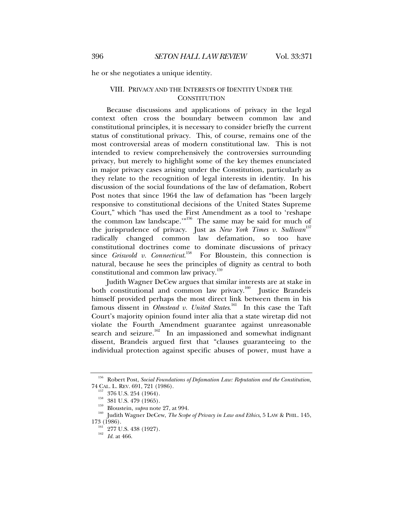he or she negotiates a unique identity.

# VIII. PRIVACY AND THE INTERESTS OF IDENTITY UNDER THE **CONSTITUTION**

Because discussions and applications of privacy in the legal context often cross the boundary between common law and constitutional principles, it is necessary to consider briefly the current status of constitutional privacy. This, of course, remains one of the most controversial areas of modern constitutional law. This is not intended to review comprehensively the controversies surrounding privacy, but merely to highlight some of the key themes enunciated in major privacy cases arising under the Constitution, particularly as they relate to the recognition of legal interests in identity. In his discussion of the social foundations of the law of defamation, Robert Post notes that since 1964 the law of defamation has "been largely responsive to constitutional decisions of the United States Supreme Court," which "has used the First Amendment as a tool to 'reshape the common law landscape."<sup>156</sup> The same may be said for much of the jurisprudence of privacy. Just as *New York Times v. Sullivan*<sup>157</sup> radically changed common law defamation, so too have constitutional doctrines come to dominate discussions of privacy since *Griswold v. Connecticut*. 158 For Bloustein, this connection is natural, because he sees the principles of dignity as central to both constitutional and common law privacy.<sup>159</sup>

Judith Wagner DeCew argues that similar interests are at stake in both constitutional and common law privacy.<sup>160</sup> Justice Brandeis himself provided perhaps the most direct link between them in his famous dissent in *Olmstead v. United States*.<sup>161</sup> In this case the Taft Court's majority opinion found inter alia that a state wiretap did not violate the Fourth Amendment guarantee against unreasonable search and seizure.<sup>162</sup> In an impassioned and somewhat indignant dissent, Brandeis argued first that "clauses guaranteeing to the individual protection against specific abuses of power, must have a

<sup>&</sup>lt;sup>156</sup> Robert Post, *Social Foundations of Defamation Law: Reputation and the Constitution*, 74 CAL. L. REV. 691, 721 (1986).

<sup>&</sup>lt;sup>157</sup> 376 U.S. 254 (1964).<br><sup>158</sup> 381 U.S. 479 (1965).<br><sup>159</sup> Bloustein, *supra* note 27, at 994.<br><sup>160</sup> Judith Wagner DeCew, *The Scope of Privacy in Law and Ethics*, 5 LAW & PHIL. 145,<br>173 (1986).

 $\frac{161}{162}$  277 U.S. 438 (1927).<br><sup>162</sup> *Id.* at 466.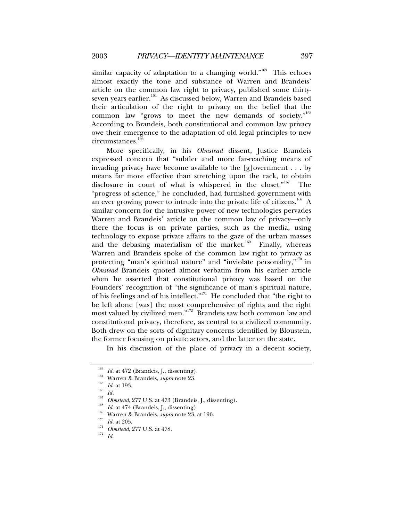similar capacity of adaptation to a changing world." $163$  This echoes almost exactly the tone and substance of Warren and Brandeis' article on the common law right to privacy, published some thirtyseven years earlier.<sup>164</sup> As discussed below, Warren and Brandeis based their articulation of the right to privacy on the belief that the common law "grows to meet the new demands of society."<sup>165</sup> According to Brandeis, both constitutional and common law privacy owe their emergence to the adaptation of old legal principles to new circumstances.166

More specifically, in his *Olmstead* dissent, Justice Brandeis expressed concern that "subtler and more far-reaching means of invading privacy have become available to the  $[g]$ overnment . . . by means far more effective than stretching upon the rack, to obtain disclosure in court of what is whispered in the closet."167 The "progress of science," he concluded, had furnished government with an ever growing power to intrude into the private life of citizens.<sup>168</sup> A similar concern for the intrusive power of new technologies pervades Warren and Brandeis' article on the common law of privacy—only there the focus is on private parties, such as the media, using technology to expose private affairs to the gaze of the urban masses and the debasing materialism of the market. $169$  Finally, whereas Warren and Brandeis spoke of the common law right to privacy as protecting "man's spiritual nature" and "inviolate personality,"<sup>170</sup> in *Olmstead* Brandeis quoted almost verbatim from his earlier article when he asserted that constitutional privacy was based on the Founders' recognition of "the significance of man's spiritual nature, of his feelings and of his intellect. $n_{171}$  He concluded that "the right to be left alone [was] the most comprehensive of rights and the right most valued by civilized men."172 Brandeis saw both common law and constitutional privacy, therefore, as central to a civilized community. Both drew on the sorts of dignitary concerns identified by Bloustein, the former focusing on private actors, and the latter on the state.

In his discussion of the place of privacy in a decent society,

<sup>&</sup>lt;sup>163</sup> *Id.* at 472 (Brandeis, J., dissenting).<br>
<sup>164</sup> Warren & Brandeis, *supra* note 23.<br>
<sup>165</sup> *Id.* at 193.<br>
<sup>165</sup> *Id.* at 193.<br>
<sup>167</sup> *Olmstead*, 277 U.S. at 473 (Brandeis, J., dissenting).<br>
<sup>168</sup> *Id.* at 474 (Brand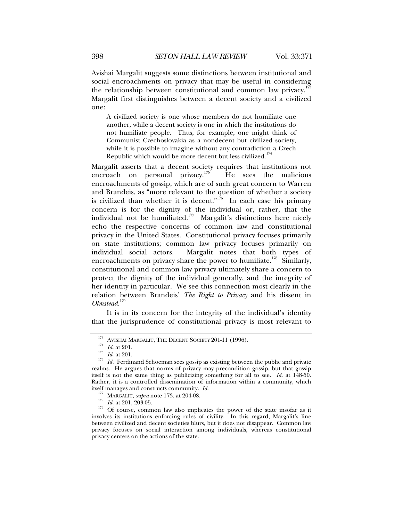Avishai Margalit suggests some distinctions between institutional and social encroachments on privacy that may be useful in considering the relationship between constitutional and common law privacy.<sup>1</sup> Margalit first distinguishes between a decent society and a civilized one:

A civilized society is one whose members do not humiliate one another, while a decent society is one in which the institutions do not humiliate people. Thus, for example, one might think of Communist Czechoslovakia as a nondecent but civilized society, while it is possible to imagine without any contradiction a Czech Republic which would be more decent but less civilized.<sup>174</sup>

Margalit asserts that a decent society requires that institutions not encroach on personal privacy.<sup>175</sup> He sees the malicious encroachments of gossip, which are of such great concern to Warren and Brandeis, as "more relevant to the question of whether a society is civilized than whether it is decent.<sup> $n^{176}$ </sup> In each case his primary concern is for the dignity of the individual or, rather, that the individual not be humiliated.<sup>177</sup> Margalit's distinctions here nicely echo the respective concerns of common law and constitutional privacy in the United States. Constitutional privacy focuses primarily on state institutions; common law privacy focuses primarily on individual social actors. Margalit notes that both types of encroachments on privacy share the power to humiliate.<sup>178</sup> Similarly, constitutional and common law privacy ultimately share a concern to protect the dignity of the individual generally, and the integrity of her identity in particular. We see this connection most clearly in the relation between Brandeis' *The Right to Privacy* and his dissent in *Olmstead*. 179

It is in its concern for the integrity of the individual's identity that the jurisprudence of constitutional privacy is most relevant to

<sup>&</sup>lt;sup>173</sup> AVISHAI MARGALIT, THE DECENT SOCIETY 201-11 (1996).<br>
<sup>174</sup> *Id.* at 201.<br>
<sup>175</sup> *Id.* at 201.<br> *Id.* Ferdinand Schoeman sees gossip as existing between the public and private realms. He argues that norms of privacy may precondition gossip, but that gossip itself is not the same thing as publicizing something for all to see. *Id.* at 148-50. Rather, it is a controlled dissemination of information within a community, which itself manages and constructs community.  $Id$ .

<sup>&</sup>lt;sup>177</sup> MARGALIT, *supra* note 173, at 204-08.<br><sup>178</sup> *Id.* at 201, 203-05. <br><sup>179</sup> Of course, common law also implicates the power of the state insofar as it involves its institutions enforcing rules of civility. In this regard, Margalit's line between civilized and decent societies blurs, but it does not disappear. Common law privacy focuses on social interaction among individuals, whereas constitutional privacy centers on the actions of the state.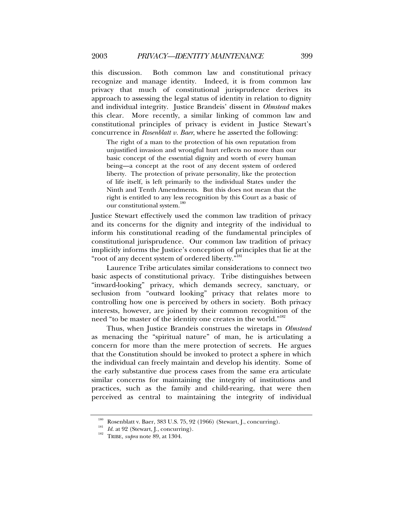this discussion. Both common law and constitutional privacy recognize and manage identity. Indeed, it is from common law privacy that much of constitutional jurisprudence derives its approach to assessing the legal status of identity in relation to dignity and individual integrity. Justice Brandeis' dissent in *Olmstead* makes this clear. More recently, a similar linking of common law and constitutional principles of privacy is evident in Justice Stewart's concurrence in *Rosenblatt v. Baer*, where he asserted the following:

The right of a man to the protection of his own reputation from unjustified invasion and wrongful hurt reflects no more than our basic concept of the essential dignity and worth of every human being—a concept at the root of any decent system of ordered liberty. The protection of private personality, like the protection of life itself, is left primarily to the individual States under the Ninth and Tenth Amendments. But this does not mean that the right is entitled to any less recognition by this Court as a basic of our constitutional system.<sup>180</sup>

Justice Stewart effectively used the common law tradition of privacy and its concerns for the dignity and integrity of the individual to inform his constitutional reading of the fundamental principles of constitutional jurisprudence. Our common law tradition of privacy implicitly informs the Justice's conception of principles that lie at the "root of any decent system of ordered liberty."<sup>181</sup>

Laurence Tribe articulates similar considerations to connect two basic aspects of constitutional privacy. Tribe distinguishes between "inward-looking" privacy, which demands secrecy, sanctuary, or seclusion from "outward looking" privacy that relates more to controlling how one is perceived by others in society. Both privacy interests, however, are joined by their common recognition of the need "to be master of the identity one creates in the world."<sup>182</sup>

Thus, when Justice Brandeis construes the wiretaps in *Olmstead* as menacing the "spiritual nature" of man, he is articulating a concern for more than the mere protection of secrets. He argues that the Constitution should be invoked to protect a sphere in which the individual can freely maintain and develop his identity. Some of the early substantive due process cases from the same era articulate similar concerns for maintaining the integrity of institutions and practices, such as the family and child-rearing, that were then perceived as central to maintaining the integrity of individual

<sup>180</sup> Rosenblatt v. Baer, 383 U.S. 75, 92 (1966) (Stewart, J., concurring). 181 *Id.* at 92 (Stewart, J., concurring). 182 TRIBE, *supra* note 89, at 1304.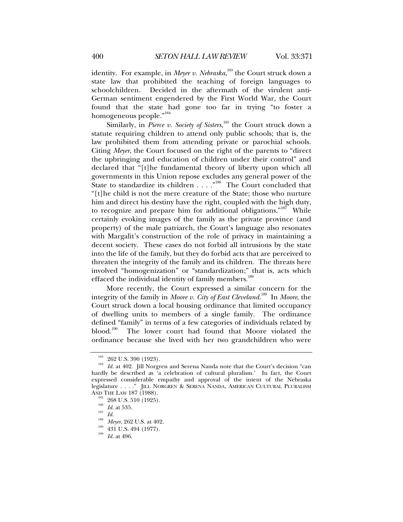identity. For example, in *Meyer v. Nebraska*, 183 the Court struck down a state law that prohibited the teaching of foreign languages to schoolchildren. Decided in the aftermath of the virulent anti-German sentiment engendered by the First World War, the Court found that the state had gone too far in trying "to foster a homogeneous people."<sup>184</sup>

Similarly, in *Pierce v. Society of Sisters*,  $^{185}$  the Court struck down a statute requiring children to attend only public schools; that is, the law prohibited them from attending private or parochial schools. Citing *Meyer*, the Court focused on the right of the parents to "direct the upbringing and education of children under their control" and declared that "[t]he fundamental theory of liberty upon which all governments in this Union repose excludes any general power of the State to standardize its children . . . .  $\frac{1}{n^{186}}$  The Court concluded that "[t]he child is not the mere creature of the State; those who nurture him and direct his destiny have the right, coupled with the high duty, to recognize and prepare him for additional obligations."<sup>187</sup> While certainly evoking images of the family as the private province (and property) of the male patriarch, the Court's language also resonates with Margalit's construction of the role of privacy in maintaining a decent society. These cases do not forbid all intrusions by the state into the life of the family, but they do forbid acts that are perceived to threaten the integrity of the family and its children. The threats here involved "homogenization" or "standardization;" that is, acts which effaced the individual identity of family members.<sup>188</sup>

More recently, the Court expressed a similar concern for the integrity of the family in *Moore v. City of East Cleveland*. 189 In *Moore*, the Court struck down a local housing ordinance that limited occupancy of dwelling units to members of a single family. The ordinance defined "family" in terms of a few categories of individuals related by blood.<sup>190</sup> The lower court had found that Moore violated the The lower court had found that Moore violated the ordinance because she lived with her two grandchildren who were

<sup>&</sup>lt;sup>183</sup> 262 U.S. 390 (1923).<br><sup>184</sup> *Id.* at 402. Jill Norgren and Serena Nanda note that the Court's decision "can hardly be described as 'a celebration of cultural pluralism.' In fact, the Court expressed considerable empathy and approval of the intent of the Nebraska legislature . . . ." JILL NORGREN & SERENA NANDA, AMERICAN CULTURAL PLURALISM AND THE LAW 187 (1988).

<sup>&</sup>lt;sup>185</sup> 268 U.S. 510 (1925).<br><sup>187</sup> *Id.* at 535.<br><sup>188</sup> *Meyer*, 262 U.S. at 402.<br><sup>189</sup> 431 U.S. 494 (1977).<br><sup>190</sup> *Id.* at 496.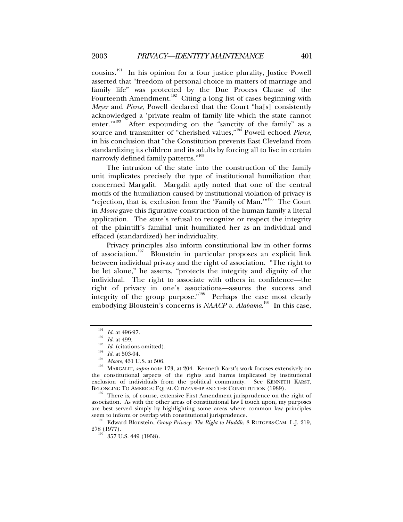cousins.191 In his opinion for a four justice plurality, Justice Powell asserted that "freedom of personal choice in matters of marriage and family life" was protected by the Due Process Clause of the Fourteenth Amendment.<sup>192</sup> Citing a long list of cases beginning with *Meyer* and *Pierce*, Powell declared that the Court "ha[s] consistently acknowledged a 'private realm of family life which the state cannot enter."<sup>193</sup> After expounding on the "sanctity of the family" as a After expounding on the "sanctity of the family" as a source and transmitter of "cherished values,"194 Powell echoed *Pierce*, in his conclusion that "the Constitution prevents East Cleveland from standardizing its children and its adults by forcing all to live in certain narrowly defined family patterns."<sup>195</sup>

The intrusion of the state into the construction of the family unit implicates precisely the type of institutional humiliation that concerned Margalit. Margalit aptly noted that one of the central motifs of the humiliation caused by institutional violation of privacy is "rejection, that is, exclusion from the 'Family of Man."<sup>196</sup> The Court in *Moore* gave this figurative construction of the human family a literal application. The state's refusal to recognize or respect the integrity of the plaintiff's familial unit humiliated her as an individual and effaced (standardized) her individuality.

Privacy principles also inform constitutional law in other forms of association.<sup>197</sup> Bloustein in particular proposes an explicit link between individual privacy and the right of association. "The right to be let alone," he asserts, "protects the integrity and dignity of the individual. The right to associate with others in confidence—the right of privacy in one's associations—assures the success and integrity of the group purpose."<sup>198</sup> Perhaps the case most clearly embodying Bloustein's concerns is *NAACP v. Alabama*.<sup>199</sup> In this case,

There is, of course, extensive First Amendment jurisprudence on the right of association. As with the other areas of constitutional law I touch upon, my purposes are best served simply by highlighting some areas where common law principles seem to inform or overlap with constitutional jurisprudence.<br><sup>198</sup> Edward Bloustein, *Group Privacy: The Right to Huddle*, 8 RUTGERS-CAM. L.J. 219,

 $278 (1977)$ .<br> $199 (357 \text{ U.S. } 449 (1958)$ .

<sup>&</sup>lt;sup>191</sup> *Id.* at 496-97.<br>
<sup>192</sup> *Id.* at 499.<br>
<sup>193</sup> *Id.* (citations omitted).<br>
<sup>195</sup> *Moore*, 431 U.S. at 506.<br>
MARGALIT, *supra* note 173, at 204. Kenneth Karst's work focuses extensively on<br>
MARGALIT, *supra* note 173, the constitutional aspects of the rights and harms implicated by institutional exclusion of individuals from the political community. See KENNETH KARST, BELONGING TO AMERICA: EQUAL CITIZENSHIP AND THE CONSTITUTION (1989).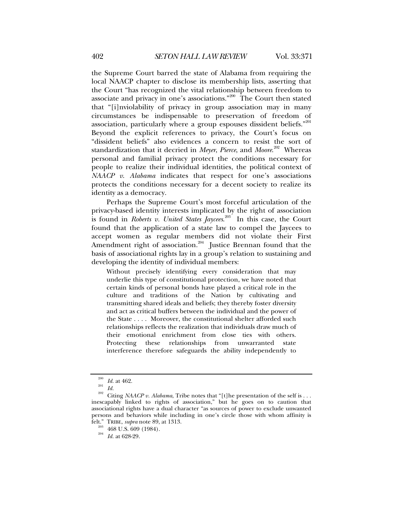the Supreme Court barred the state of Alabama from requiring the local NAACP chapter to disclose its membership lists, asserting that the Court "has recognized the vital relationship between freedom to associate and privacy in one's associations."200 The Court then stated that "[i]nviolability of privacy in group association may in many circumstances be indispensable to preservation of freedom of association, particularly where a group espouses dissident beliefs." $201$ Beyond the explicit references to privacy, the Court's focus on "dissident beliefs" also evidences a concern to resist the sort of standardization that it decried in *Meyer*, *Pierce*, and *Moore*. 202 Whereas personal and familial privacy protect the conditions necessary for people to realize their individual identities, the political context of *NAACP v*. *Alabama* indicates that respect for one's associations protects the conditions necessary for a decent society to realize its identity as a democracy.

Perhaps the Supreme Court's most forceful articulation of the privacy-based identity interests implicated by the right of association is found in *Roberts v. United States Jaycees*. 203 In this case, the Court found that the application of a state law to compel the Jaycees to accept women as regular members did not violate their First Amendment right of association.<sup>204</sup> Justice Brennan found that the basis of associational rights lay in a group's relation to sustaining and developing the identity of individual members:

Without precisely identifying every consideration that may underlie this type of constitutional protection, we have noted that certain kinds of personal bonds have played a critical role in the culture and traditions of the Nation by cultivating and transmitting shared ideals and beliefs; they thereby foster diversity and act as critical buffers between the individual and the power of the State . . . . Moreover, the constitutional shelter afforded such relationships reflects the realization that individuals draw much of their emotional enrichment from close ties with others. Protecting these relationships from unwarranted state interference therefore safeguards the ability independently to

<sup>&</sup>lt;sup>200</sup> *Id.* at 462.<br><sup>201</sup> *Id. Z02* Citing *NAACP v. Alabama*, Tribe notes that "[t]he presentation of the self is . . . inescapably linked to rights of association," but he goes on to caution that associational rights have a dual character "as sources of power to exclude unwanted persons and behaviors while including in one's circle those with whom affinity is felt." TRIBE, *supra* note 89, at 1313. 203 468 U.S. 609 (1984). 204 *Id.* at 628-29.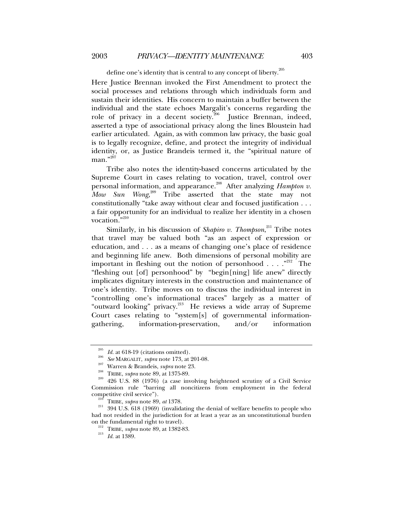define one's identity that is central to any concept of liberty.<sup>205</sup>

Here Justice Brennan invoked the First Amendment to protect the social processes and relations through which individuals form and sustain their identities. His concern to maintain a buffer between the individual and the state echoes Margalit's concerns regarding the role of privacy in a decent society.<sup>206</sup> Justice Brennan, indeed, asserted a type of associational privacy along the lines Bloustein had earlier articulated. Again, as with common law privacy, the basic goal is to legally recognize, define, and protect the integrity of individual identity, or, as Justice Brandeis termed it, the "spiritual nature of  $man.$ "<sup>207</sup>

Tribe also notes the identity-based concerns articulated by the Supreme Court in cases relating to vocation, travel, control over personal information, and appearance.<sup>208</sup> After analyzing *Hampton v. Mow Sun Wong*, 209 Tribe asserted that the state may not constitutionally "take away without clear and focused justification . . . a fair opportunity for an individual to realize her identity in a chosen vocation."210

Similarly, in his discussion of *Shapiro v. Thompson*,<sup>211</sup> Tribe notes that travel may be valued both "as an aspect of expression or education, and . . . as a means of changing one's place of residence and beginning life anew. Both dimensions of personal mobility are important in fleshing out the notion of personhood . . . . "<sup>212</sup> The "fleshing out [of] personhood" by "begin[ning] life anew" directly implicates dignitary interests in the construction and maintenance of one's identity. Tribe moves on to discuss the individual interest in "controlling one's informational traces" largely as a matter of "outward looking" privacy.<sup>213</sup> He reviews a wide array of Supreme Court cases relating to "system[s] of governmental informationgathering, information-preservation, and/or information

<sup>&</sup>lt;sup>205</sup> *Id.* at 618-19 (citations omitted).<br><sup>206</sup> *See* MARGALIT, *supra* note 173, at 201-08.<br><sup>207</sup> Warren & Brandeis, *supra* note 23.<br>TRIBE, *supra* note 89, at 1375-89.<br><sup>209</sup> 426 U.S. 88 (1976) (a case involving height Commission rule "barring all noncitizens from employment in the federal

<sup>&</sup>lt;sup>210</sup> TRIBE, *supra* note 89, *at* 1378. <sup>211</sup> 394 U.S. 618 (1969) (invalidating the denial of welfare benefits to people who had not resided in the jurisdiction for at least a year as an unconstitutional burden on the fundamental right to travel). 212 TRIBE, *supra* note 89, at 1382-83. 213 *Id.* at 1389.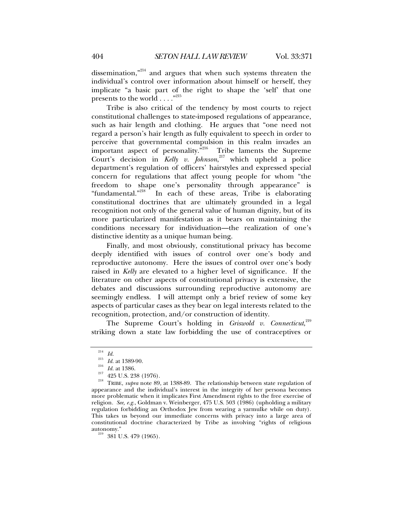dissemination, $n^{214}$  and argues that when such systems threaten the individual's control over information about himself or herself, they implicate "a basic part of the right to shape the 'self' that one presents to the world . . . . "215

Tribe is also critical of the tendency by most courts to reject constitutional challenges to state-imposed regulations of appearance, such as hair length and clothing. He argues that "one need not regard a person's hair length as fully equivalent to speech in order to perceive that governmental compulsion in this realm invades an important aspect of personality. $\overline{r}^{216}$  Tribe laments the Supreme Court's decision in *Kelly v. Johnson*, 217 which upheld a police department's regulation of officers' hairstyles and expressed special concern for regulations that affect young people for whom "the freedom to shape one's personality through appearance" is "fundamental."<sup>218</sup> In each of these areas. Tribe is elaborating In each of these areas, Tribe is elaborating constitutional doctrines that are ultimately grounded in a legal recognition not only of the general value of human dignity, but of its more particularized manifestation as it bears on maintaining the conditions necessary for individuation—the realization of one's distinctive identity as a unique human being.

Finally, and most obviously, constitutional privacy has become deeply identified with issues of control over one's body and reproductive autonomy. Here the issues of control over one's body raised in *Kelly* are elevated to a higher level of significance. If the literature on other aspects of constitutional privacy is extensive, the debates and discussions surrounding reproductive autonomy are seemingly endless. I will attempt only a brief review of some key aspects of particular cases as they bear on legal interests related to the recognition, protection, and/or construction of identity.

The Supreme Court's holding in *Griswold v. Connecticut*, 219 striking down a state law forbidding the use of contraceptives or

<sup>&</sup>lt;sup>214</sup> *Id.*  $\frac{215}{216}$  *Id.* at 1389-90.<br><sup>216</sup> *Id.* at 1386.<br><sup>217</sup> 425 U.S. 238 (1976).<br><sup>218</sup> TRIBE, *supra* note 89, at 1388-89. The relationship between state regulation of appearance and the individual's interest in the integrity of her persona becomes more problematic when it implicates First Amendment rights to the free exercise of religion*. See, e.g.*, Goldman v. Weinberger, 475 U.S. 503 (1986) (upholding a military regulation forbidding an Orthodox Jew from wearing a yarmulke while on duty). This takes us beyond our immediate concerns with privacy into a large area of constitutional doctrine characterized by Tribe as involving "rights of religious autonomy."<br><sup>219</sup> 381 U.S. 479 (1965).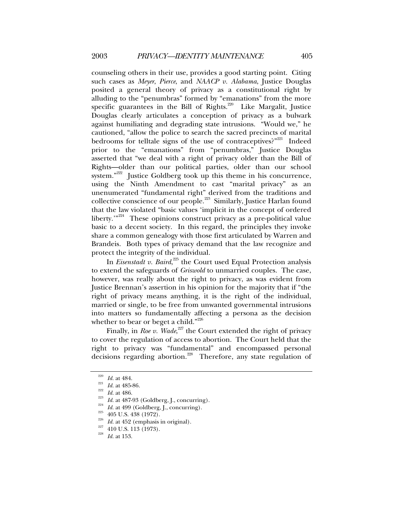counseling others in their use, provides a good starting point. Citing such cases as *Meyer*, *Pierce*, and *NAACP v. Alabama*, Justice Douglas posited a general theory of privacy as a constitutional right by alluding to the "penumbras" formed by "emanations" from the more specific guarantees in the Bill of Rights.<sup>220</sup> Like Margalit, Justice Douglas clearly articulates a conception of privacy as a bulwark against humiliating and degrading state intrusions. "Would we," he cautioned, "allow the police to search the sacred precincts of marital bedrooms for telltale signs of the use of contraceptives? $n^{221}$  Indeed prior to the "emanations" from "penumbras," Justice Douglas asserted that "we deal with a right of privacy older than the Bill of Rights—older than our political parties, older than our school system."222 Justice Goldberg took up this theme in his concurrence, using the Ninth Amendment to cast "marital privacy" as an unenumerated "fundamental right" derived from the traditions and collective conscience of our people.<sup>223</sup> Similarly, Justice Harlan found that the law violated "basic values 'implicit in the concept of ordered liberty."<sup>224</sup> These opinions construct privacy as a pre-political value basic to a decent society. In this regard, the principles they invoke share a common genealogy with those first articulated by Warren and Brandeis. Both types of privacy demand that the law recognize and protect the integrity of the individual.

In *Eisenstadt v. Baird*,<sup>225</sup> the Court used Equal Protection analysis to extend the safeguards of *Griswold* to unmarried couples. The case, however, was really about the right to privacy, as was evident from Justice Brennan's assertion in his opinion for the majority that if "the right of privacy means anything, it is the right of the individual, married or single, to be free from unwanted governmental intrusions into matters so fundamentally affecting a persona as the decision whether to bear or beget a child."<sup>226</sup>

Finally, in *Roe v. Wade*,<sup>227</sup> the Court extended the right of privacy to cover the regulation of access to abortion. The Court held that the right to privacy was "fundamental" and encompassed personal decisions regarding abortion.<sup>228</sup> Therefore, any state regulation of

<sup>&</sup>lt;sup>220</sup> *Id.* at 484.<br>
<sup>221</sup> *Id.* at 485-86.<br>
<sup>222</sup> *Id.* at 486.<br>
<sup>223</sup> *Id.* at 487-93 (Goldberg, J., concurring).<br>
<sup>224</sup> *Id.* at 499 (Goldberg, J., concurring).<br>
<sup>225</sup> 405 U.S. 438 (1972).<br> *225 Id.* at 452 (emphasis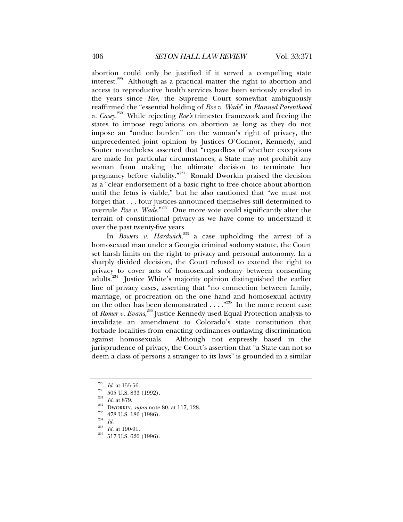abortion could only be justified if it served a compelling state interest.229 Although as a practical matter the right to abortion and access to reproductive health services have been seriously eroded in the years since *Roe*, the Supreme Court somewhat ambiguously reaffirmed the "essential holding of *Roe v. Wade*" in *Planned Parenthood v. Casey*. 230 While rejecting *Roe's* trimester framework and freeing the states to impose regulations on abortion as long as they do not impose an "undue burden" on the woman's right of privacy, the unprecedented joint opinion by Justices O'Connor, Kennedy, and Souter nonetheless asserted that "regardless of whether exceptions are made for particular circumstances, a State may not prohibit any woman from making the ultimate decision to terminate her pregnancy before viability."231 Ronald Dworkin praised the decision as a "clear endorsement of a basic right to free choice about abortion until the fetus is viable," but he also cautioned that "we must not forget that . . . four justices announced themselves still determined to overrule *Roe v. Wade*."232 One more vote could significantly alter the terrain of constitutional privacy as we have come to understand it over the past twenty-five years.

In *Bowers v. Hardwick*, <sup>233</sup> a case upholding the arrest of a homosexual man under a Georgia criminal sodomy statute, the Court set harsh limits on the right to privacy and personal autonomy. In a sharply divided decision, the Court refused to extend the right to privacy to cover acts of homosexual sodomy between consenting adults.<sup>234</sup> Justice White's majority opinion distinguished the earlier line of privacy cases, asserting that "no connection between family, marriage, or procreation on the one hand and homosexual activity on the other has been demonstrated  $\dots$ ."<sup>235</sup> In the more recent case of *Romer v. Evans*, 236 Justice Kennedy used Equal Protection analysis to invalidate an amendment to Colorado's state constitution that forbade localities from enacting ordinances outlawing discrimination against homosexuals. Although not expressly based in the jurisprudence of privacy, the Court's assertion that "a State can not so deem a class of persons a stranger to its laws" is grounded in a similar

<sup>&</sup>lt;sup>229</sup> *Id.* at 155-56.<br><sup>230</sup> 505 U.S. 833 (1992).<br><sup>231</sup> *Id.* at 879.<br><sup>233</sup> DWORKIN, *supra* note 80, at 117, 128.<br><sup>233</sup> 478 U.S. 186 (1986).<br><sup>236</sup> *Id. Id.* at 190-91.<br><sup>236</sup> 517 U.S. 620 (1996).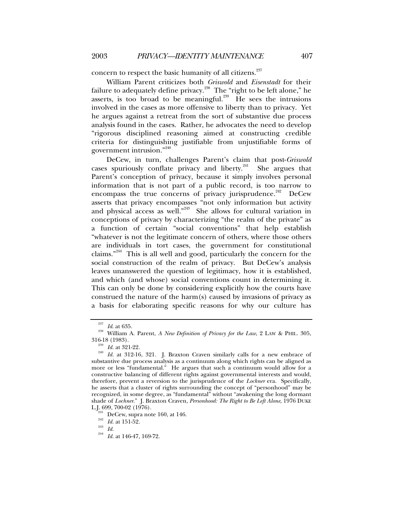concern to respect the basic humanity of all citizens.<sup>237</sup>

William Parent criticizes both *Griswold* and *Eisenstadt* for their failure to adequately define privacy.238 The "right to be left alone," he asserts, is too broad to be meaningful.<sup>239</sup> He sees the intrusions involved in the cases as more offensive to liberty than to privacy. Yet he argues against a retreat from the sort of substantive due process analysis found in the cases. Rather, he advocates the need to develop "rigorous disciplined reasoning aimed at constructing credible criteria for distinguishing justifiable from unjustifiable forms of government intrusion."<sup>240</sup>

DeCew, in turn, challenges Parent's claim that post-*Griswold* cases spuriously conflate privacy and liberty.<sup>241</sup> She argues that Parent's conception of privacy, because it simply involves personal information that is not part of a public record, is too narrow to encompass the true concerns of privacy jurisprudence.<sup>242</sup> DeCew asserts that privacy encompasses "not only information but activity and physical access as well."<sup>243</sup> She allows for cultural variation in conceptions of privacy by characterizing "the realm of the private" as a function of certain "social conventions" that help establish "whatever is not the legitimate concern of others, where those others are individuals in tort cases, the government for constitutional claims."244 This is all well and good, particularly the concern for the social construction of the realm of privacy. But DeCew's analysis leaves unanswered the question of legitimacy, how it is established, and which (and whose) social conventions count in determining it. This can only be done by considering explicitly how the courts have construed the nature of the harm(s) caused by invasions of privacy as a basis for elaborating specific reasons for why our culture has

<sup>&</sup>lt;sup>237</sup> Id. at 635.<br><sup>238</sup> William A. Parent, *A New Definition of Privacy for the Law*, 2 LAW & PHIL. 305, 316-18 (1983).

<sup>&</sup>lt;sup>239</sup> *Id.* at 321-22.<br><sup>240</sup> *Id.* at 312-16, 321. J. Braxton Craven similarly calls for a new embrace of substantive due process analysis as a continuum along which rights can be aligned as more or less "fundamental." He argues that such a continuum would allow for a constructive balancing of different rights against governmental interests and would, therefore, prevent a reversion to the jurisprudence of the *Lochner* era. Specifically, he asserts that a cluster of rights surrounding the concept of "personhood" may be recognized, in some degree, as "fundamental" without "awakening the long dormant shade of *Lochner*." J. Braxton Craven, *Personhood: The Right to Be Left Alone*, 1976 DUKE L.J. 699, 700-02 (1976).<br><sup>241</sup> DeCew, supra note 160, at 146.<br><sup>242</sup> *Id.* at 151-52.<br><sup>243</sup> *Id. Id.* at 146-47, 169-72.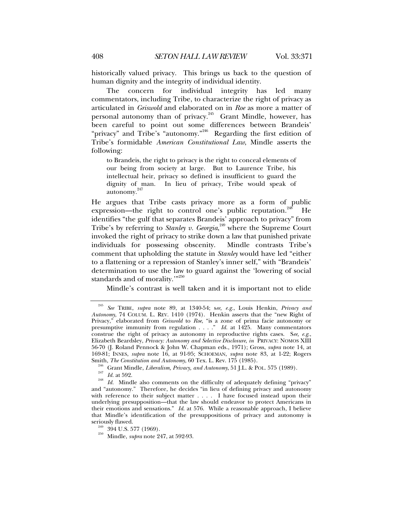historically valued privacy. This brings us back to the question of human dignity and the integrity of individual identity.

The concern for individual integrity has led many commentators, including Tribe, to characterize the right of privacy as articulated in *Griswold* and elaborated on in *Roe* as more a matter of personal autonomy than of privacy.<sup>245</sup> Grant Mindle, however, has been careful to point out some differences between Brandeis' "privacy" and Tribe's "autonomy."<sup>246</sup> Regarding the first edition of Tribe's formidable *American Constitutional Law*, Mindle asserts the following:

to Brandeis, the right to privacy is the right to conceal elements of our being from society at large. But to Laurence Tribe, his intellectual heir, privacy so defined is insufficient to guard the dignity of man. In lieu of privacy, Tribe would speak of autonomy.<sup>247</sup>

He argues that Tribe casts privacy more as a form of public expression—the right to control one's public reputation.<sup>248</sup> He identifies "the gulf that separates Brandeis' approach to privacy" from Tribe's by referring to *Stanley v. Georgia*, 249 where the Supreme Court invoked the right of privacy to strike down a law that punished private individuals for possessing obscenity. Mindle contrasts Tribe's comment that upholding the statute in *Stanley* would have led "either to a flattening or a repression of Stanley's inner self," with "Brandeis' determination to use the law to guard against the 'lowering of social standards and of morality."<sup>250</sup>

Mindle's contrast is well taken and it is important not to elide

<sup>245</sup> *See* TRIBE, *supra* note 89, at 1340-54; s*ee, e.g.*, Louis Henkin, *Privacy and Autonomy*, 74 COLUM. L. REV. 1410 (1974). Henkin asserts that the "new Right of Privacy," elaborated from *Griswold* to *Roe*, "is a zone of prima facie autonomy or presumptive immunity from regulation . . . ." *Id.* at 1425. Many commentators construe the right of privacy as autonomy in reproductive rights cases. S*ee, e.g*., Elizabeth Beardsley, *Privacy: Autonomy and Selective Disclosure*, *in* PRIVACY: NOMOS XIII 56-70 (J. Roland Pennock & John W. Chapman eds., 1971); Gross, *supra* note 14, at 169-81; INNES, *supra* note 16, at 91-95; SCHOEMAN, *supra* note 83, at 1-22; Rogers

<sup>&</sup>lt;sup>246</sup> Grant Mindle, *Liberalism*, *Privacy*, *and Autonomy*, 51 J.L. & POL. 575 (1989).<br><sup>247</sup> Id. at 592.<br><sup>248</sup> Id. Mindle also comments on the difficulty of adequately defining "privacy" and "autonomy." Therefore, he decides "in lieu of defining privacy and autonomy with reference to their subject matter . . . . I have focused instead upon their underlying presupposition—that the law should endeavor to protect Americans in their emotions and sensations." *Id*. at 576. While a reasonable approach, I believe that Mindle's identification of the presuppositions of privacy and autonomy is

<sup>&</sup>lt;sup>249</sup> 394 U.S. 577 (1969).<br><sup>250</sup> Mindle, *supra* note 247, at 592-93.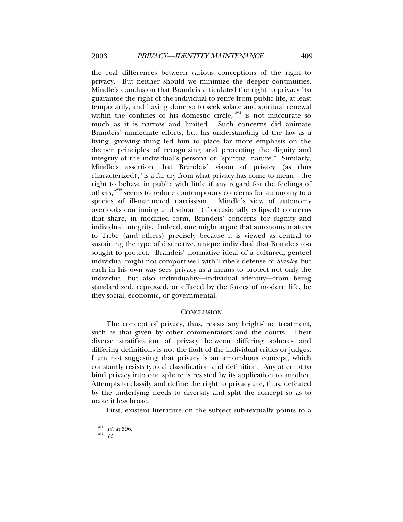the real differences between various conceptions of the right to privacy. But neither should we minimize the deeper continuities. Mindle's conclusion that Brandeis articulated the right to privacy "to guarantee the right of the individual to retire from public life, at least temporarily, and having done so to seek solace and spiritual renewal within the confines of his domestic circle,"<sup>251</sup> is not inaccurate so much as it is narrow and limited. Such concerns did animate Brandeis' immediate efforts, but his understanding of the law as a living, growing thing led him to place far more emphasis on the deeper principles of recognizing and protecting the dignity and integrity of the individual's persona or "spiritual nature." Similarly, Mindle's assertion that Brandeis' vision of privacy (as thus characterized), "is a far cry from what privacy has come to mean—the right to behave in public with little if any regard for the feelings of others,<sup>"252</sup> seems to reduce contemporary concerns for autonomy to a species of ill-mannered narcissism. Mindle's view of autonomy overlooks continuing and vibrant (if occasionally eclipsed) concerns that share, in modified form, Brandeis' concerns for dignity and individual integrity. Indeed, one might argue that autonomy matters to Tribe (and others) precisely because it is viewed as central to sustaining the type of distinctive, unique individual that Brandeis too sought to protect. Brandeis' normative ideal of a cultured, genteel individual might not comport well with Tribe's defense of *Stanley*, but each in his own way sees privacy as a means to protect not only the individual but also individuality—individual identity—from being standardized, repressed, or effaced by the forces of modern life, be they social, economic, or governmental.

# **CONCLUSION**

The concept of privacy, thus, resists any bright-line treatment, such as that given by other commentators and the courts. Their diverse stratification of privacy between differing spheres and differing definitions is not the fault of the individual critics or judges. I am not suggesting that privacy is an amorphous concept, which constantly resists typical classification and definition. Any attempt to bind privacy into one sphere is resisted by its application to another. Attempts to classify and define the right to privacy are, thus, defeated by the underlying needs to diversity and split the concept so as to make it less broad.

First, existent literature on the subject sub-textually points to a

<sup>251</sup> *Id.* at 596. 252 *Id.*